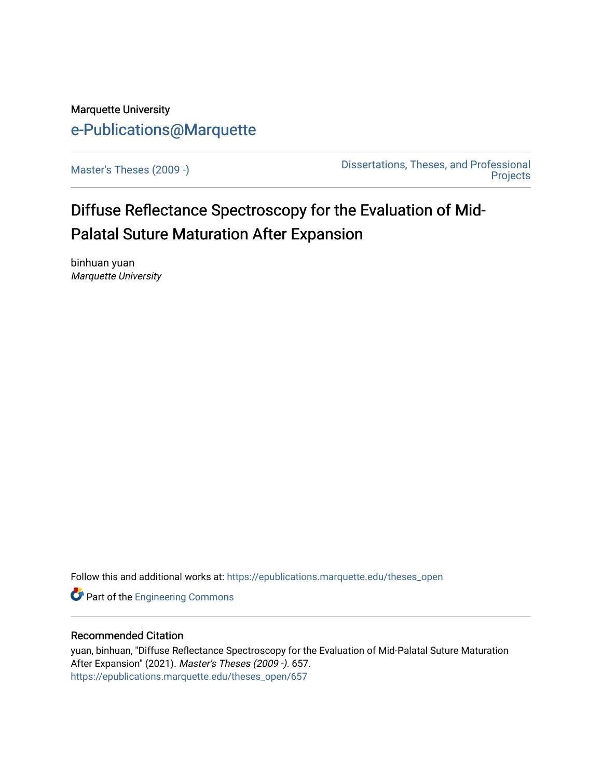## Marquette University [e-Publications@Marquette](https://epublications.marquette.edu/)

[Master's Theses \(2009 -\)](https://epublications.marquette.edu/theses_open) [Dissertations, Theses, and Professional](https://epublications.marquette.edu/diss_theses)  **Projects** 

# Diffuse Reflectance Spectroscopy for the Evaluation of Mid-Palatal Suture Maturation After Expansion

binhuan yuan Marquette University

Follow this and additional works at: [https://epublications.marquette.edu/theses\\_open](https://epublications.marquette.edu/theses_open?utm_source=epublications.marquette.edu%2Ftheses_open%2F657&utm_medium=PDF&utm_campaign=PDFCoverPages) 

**Part of the [Engineering Commons](http://network.bepress.com/hgg/discipline/217?utm_source=epublications.marquette.edu%2Ftheses_open%2F657&utm_medium=PDF&utm_campaign=PDFCoverPages)** 

### Recommended Citation

yuan, binhuan, "Diffuse Reflectance Spectroscopy for the Evaluation of Mid-Palatal Suture Maturation After Expansion" (2021). Master's Theses (2009 -). 657. [https://epublications.marquette.edu/theses\\_open/657](https://epublications.marquette.edu/theses_open/657?utm_source=epublications.marquette.edu%2Ftheses_open%2F657&utm_medium=PDF&utm_campaign=PDFCoverPages)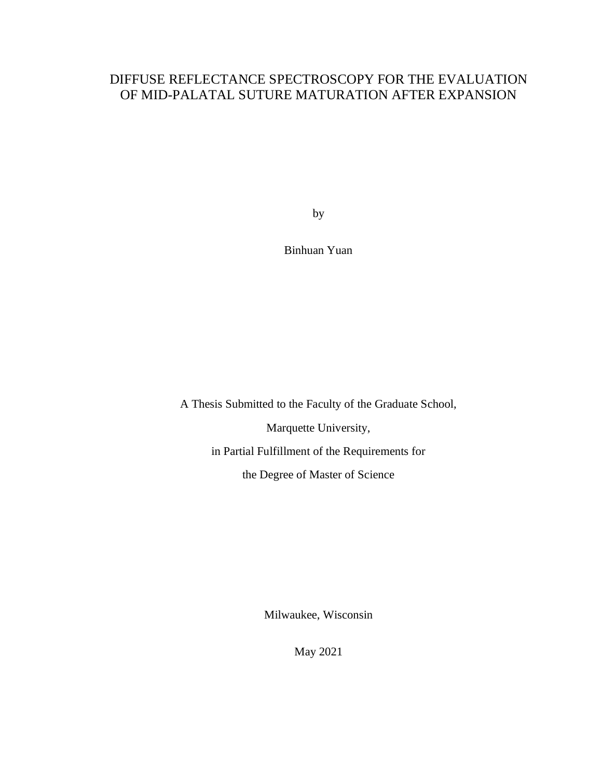## DIFFUSE REFLECTANCE SPECTROSCOPY FOR THE EVALUATION OF MID-PALATAL SUTURE MATURATION AFTER EXPANSION

by

Binhuan Yuan

A Thesis Submitted to the Faculty of the Graduate School,

Marquette University,

in Partial Fulfillment of the Requirements for

the Degree of Master of Science

Milwaukee, Wisconsin

May 2021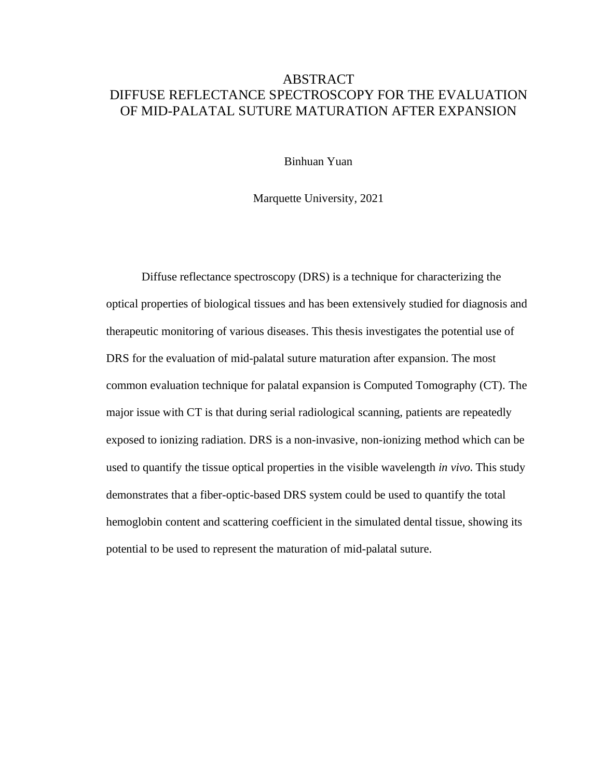## ABSTRACT DIFFUSE REFLECTANCE SPECTROSCOPY FOR THE EVALUATION OF MID-PALATAL SUTURE MATURATION AFTER EXPANSION

Binhuan Yuan

Marquette University, 2021

Diffuse reflectance spectroscopy (DRS) is a technique for characterizing the optical properties of biological tissues and has been extensively studied for diagnosis and therapeutic monitoring of various diseases. This thesis investigates the potential use of DRS for the evaluation of mid-palatal suture maturation after expansion. The most common evaluation technique for palatal expansion is Computed Tomography (CT). The major issue with CT is that during serial radiological scanning, patients are repeatedly exposed to ionizing radiation. DRS is a non-invasive, non-ionizing method which can be used to quantify the tissue optical properties in the visible wavelength *in vivo*. This study demonstrates that a fiber-optic-based DRS system could be used to quantify the total hemoglobin content and scattering coefficient in the simulated dental tissue, showing its potential to be used to represent the maturation of mid-palatal suture.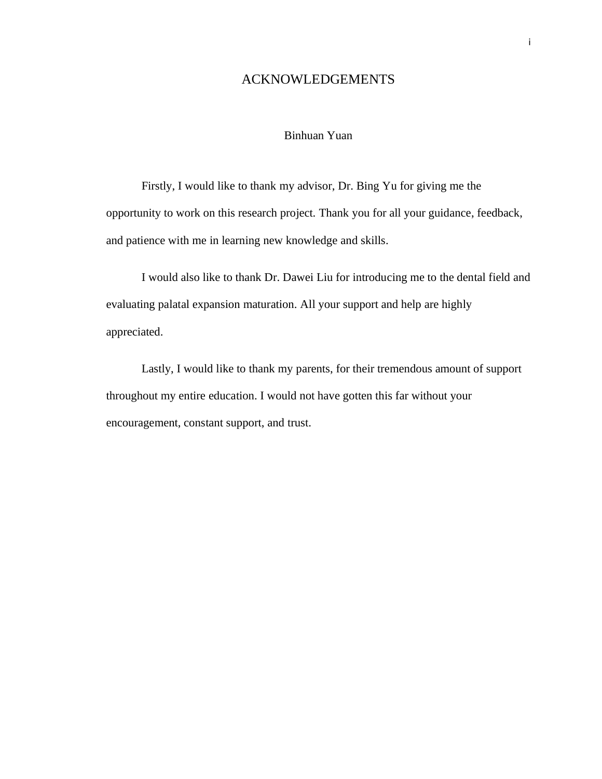## ACKNOWLEDGEMENTS

### Binhuan Yuan

Firstly, I would like to thank my advisor, Dr. Bing Yu for giving me the opportunity to work on this research project. Thank you for all your guidance, feedback, and patience with me in learning new knowledge and skills.

I would also like to thank Dr. Dawei Liu for introducing me to the dental field and evaluating palatal expansion maturation. All your support and help are highly appreciated.

Lastly, I would like to thank my parents, for their tremendous amount of support throughout my entire education. I would not have gotten this far without your encouragement, constant support, and trust.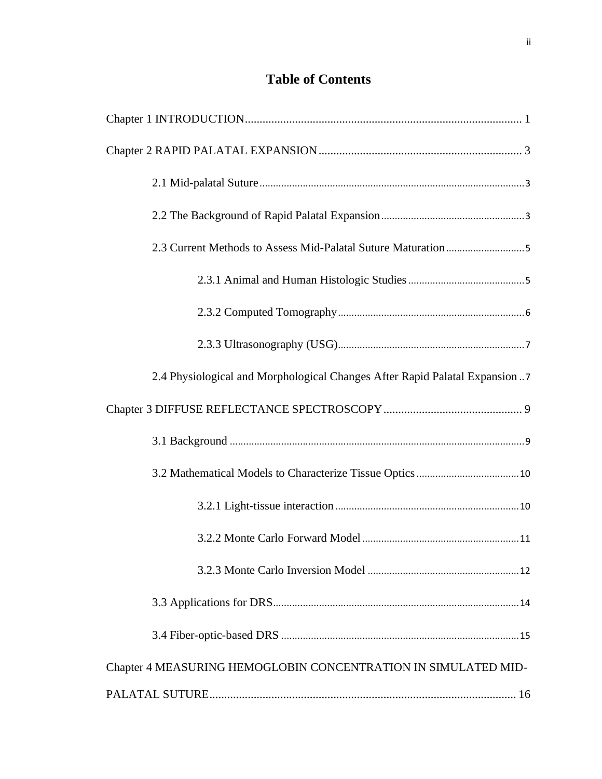## **Table of Contents**

| 2.4 Physiological and Morphological Changes After Rapid Palatal Expansion7 |
|----------------------------------------------------------------------------|
|                                                                            |
|                                                                            |
|                                                                            |
|                                                                            |
|                                                                            |
|                                                                            |
|                                                                            |
|                                                                            |
| Chapter 4 MEASURING HEMOGLOBIN CONCENTRATION IN SIMULATED MID-             |
|                                                                            |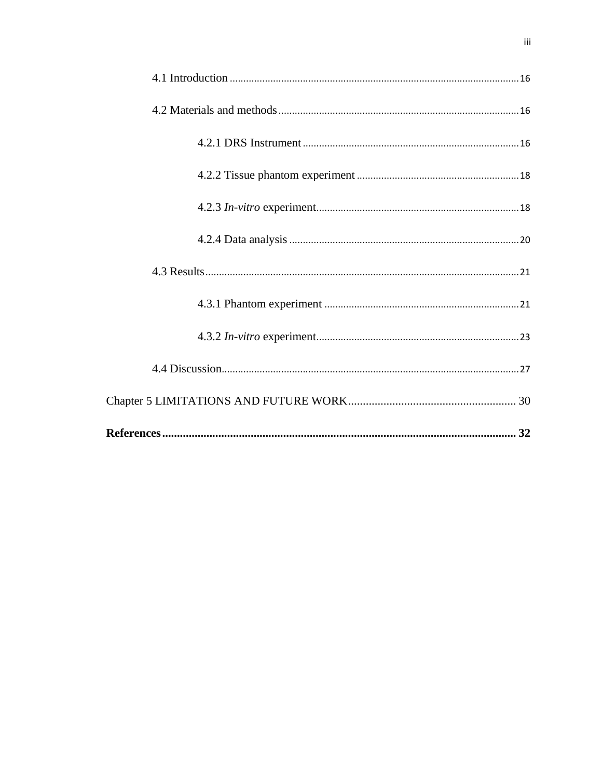<span id="page-5-0"></span>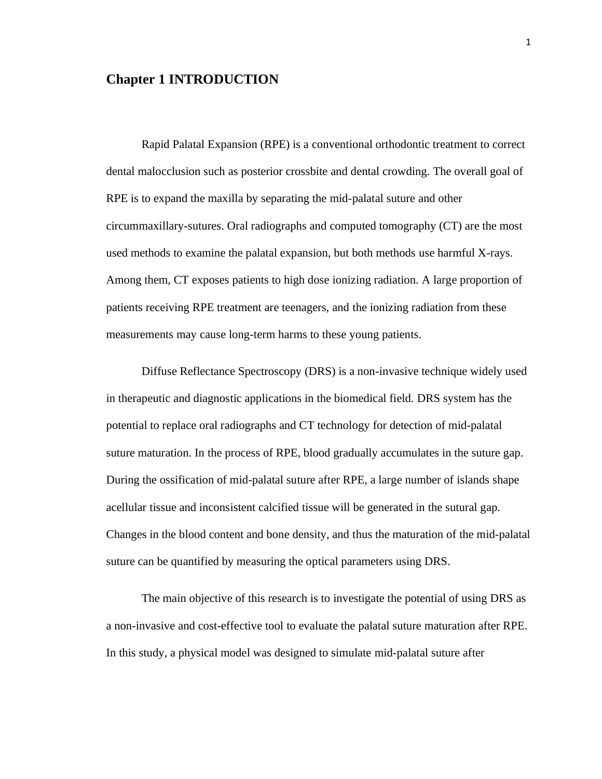## **Chapter 1 INTRODUCTION**

Rapid Palatal Expansion (RPE) is a conventional orthodontic treatment to correct dental malocclusion such as posterior crossbite and dental crowding. The overall goal of RPE is to expand the maxilla by separating the mid-palatal suture and other circummaxillary-sutures. Oral radiographs and computed tomography (CT) are the most used methods to examine the palatal expansion, but both methods use harmful X-rays. Among them, CT exposes patients to high dose ionizing radiation. A large proportion of patients receiving RPE treatment are teenagers, and the ionizing radiation from these measurements may cause long-term harms to these young patients.

Diffuse Reflectance Spectroscopy (DRS) is a non-invasive technique widely used in therapeutic and diagnostic applications in the biomedical field. DRS system has the potential to replace oral radiographs and CT technology for detection of mid-palatal suture maturation. In the process of RPE, blood gradually accumulates in the suture gap. During the ossification of mid-palatal suture after RPE, a large number of islands shape acellular tissue and inconsistent calcified tissue will be generated in the sutural gap. Changes in the blood content and bone density, and thus the maturation of the mid-palatal suture can be quantified by measuring the optical parameters using DRS.

The main objective of this research is to investigate the potential of using DRS as a non-invasive and cost-effective tool to evaluate the palatal suture maturation after RPE. In this study, a physical model was designed to simulate mid-palatal suture after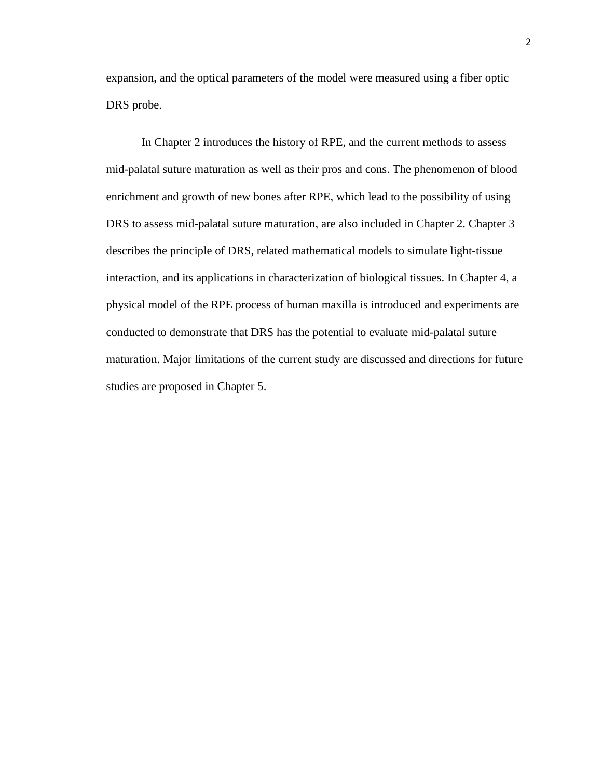expansion, and the optical parameters of the model were measured using a fiber optic DRS probe.

In Chapter 2 introduces the history of RPE, and the current methods to assess mid-palatal suture maturation as well as their pros and cons. The phenomenon of blood enrichment and growth of new bones after RPE, which lead to the possibility of using DRS to assess mid-palatal suture maturation, are also included in Chapter 2. Chapter 3 describes the principle of DRS, related mathematical models to simulate light-tissue interaction, and its applications in characterization of biological tissues. In Chapter 4, a physical model of the RPE process of human maxilla is introduced and experiments are conducted to demonstrate that DRS has the potential to evaluate mid-palatal suture maturation. Major limitations of the current study are discussed and directions for future studies are proposed in Chapter 5.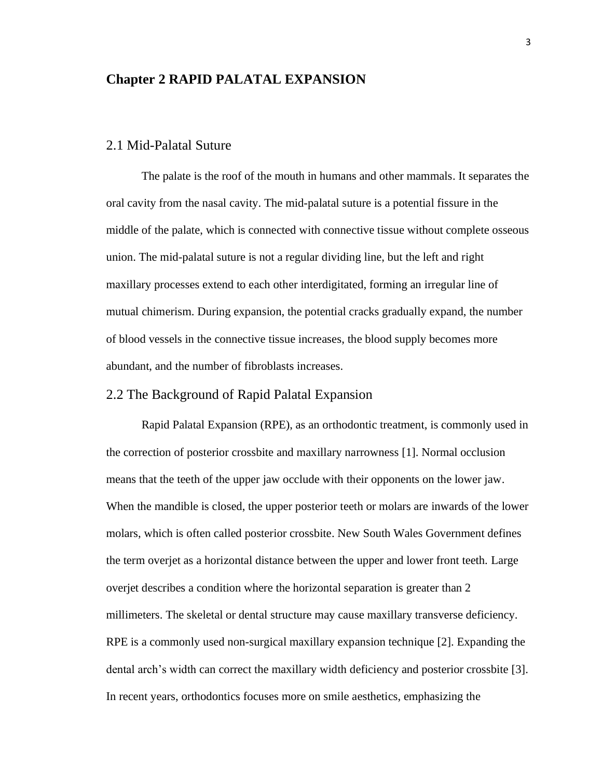## <span id="page-8-0"></span>**Chapter 2 RAPID PALATAL EXPANSION**

## <span id="page-8-1"></span>2.1 Mid-Palatal Suture

The palate is the roof of the mouth in humans and other mammals. It separates the oral cavity from the nasal cavity. The mid-palatal suture is a potential fissure in the middle of the palate, which is connected with connective tissue without complete osseous union. The mid-palatal suture is not a regular dividing line, but the left and right maxillary processes extend to each other interdigitated, forming an irregular line of mutual chimerism. During expansion, the potential cracks gradually expand, the number of blood vessels in the connective tissue increases, the blood supply becomes more abundant, and the number of fibroblasts increases.

## <span id="page-8-2"></span>2.2 The Background of Rapid Palatal Expansion

Rapid Palatal Expansion (RPE), as an orthodontic treatment, is commonly used in the correction of posterior crossbite and maxillary narrowness [1]. Normal occlusion means that the teeth of the upper jaw occlude with their opponents on the lower jaw. When the mandible is closed, the upper posterior teeth or molars are inwards of the lower molars, which is often called posterior crossbite. New South Wales Government defines the term overjet as a horizontal distance between the upper and lower front teeth. Large overjet describes a condition where the horizontal separation is greater than 2 millimeters. The skeletal or dental structure may cause maxillary transverse deficiency. RPE is a commonly used non-surgical maxillary expansion technique [2]. Expanding the dental arch's width can correct the maxillary width deficiency and posterior crossbite [3]. In recent years, orthodontics focuses more on smile aesthetics, emphasizing the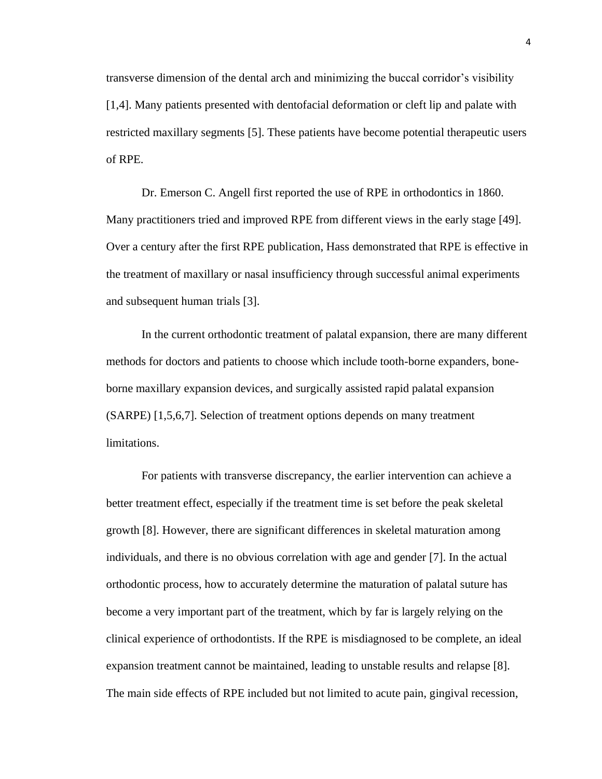transverse dimension of the dental arch and minimizing the buccal corridor's visibility [1,4]. Many patients presented with dentofacial deformation or cleft lip and palate with restricted maxillary segments [5]. These patients have become potential therapeutic users of RPE.

Dr. Emerson C. Angell first reported the use of RPE in orthodontics in 1860. Many practitioners tried and improved RPE from different views in the early stage [49]. Over a century after the first RPE publication, Hass demonstrated that RPE is effective in the treatment of maxillary or nasal insufficiency through successful animal experiments and subsequent human trials [3].

In the current orthodontic treatment of palatal expansion, there are many different methods for doctors and patients to choose which include tooth-borne expanders, boneborne maxillary expansion devices, and surgically assisted rapid palatal expansion (SARPE) [1,5,6,7]. Selection of treatment options depends on many treatment limitations.

For patients with transverse discrepancy, the earlier intervention can achieve a better treatment effect, especially if the treatment time is set before the peak skeletal growth [8]. However, there are significant differences in skeletal maturation among individuals, and there is no obvious correlation with age and gender [7]. In the actual orthodontic process, how to accurately determine the maturation of palatal suture has become a very important part of the treatment, which by far is largely relying on the clinical experience of orthodontists. If the RPE is misdiagnosed to be complete, an ideal expansion treatment cannot be maintained, leading to unstable results and relapse [8]. The main side effects of RPE included but not limited to acute pain, gingival recession,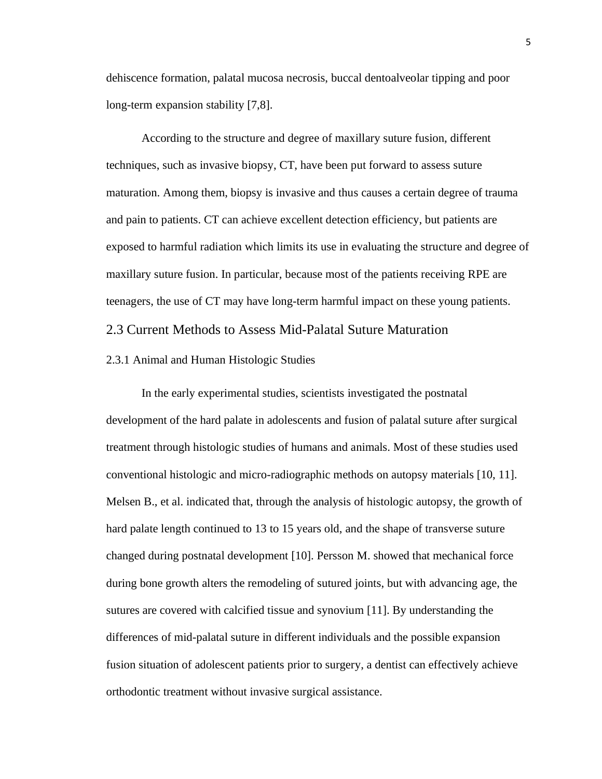dehiscence formation, palatal mucosa necrosis, buccal dentoalveolar tipping and poor long-term expansion stability [7,8].

According to the structure and degree of maxillary suture fusion, different techniques, such as invasive biopsy, CT, have been put forward to assess suture maturation. Among them, biopsy is invasive and thus causes a certain degree of trauma and pain to patients. CT can achieve excellent detection efficiency, but patients are exposed to harmful radiation which limits its use in evaluating the structure and degree of maxillary suture fusion. In particular, because most of the patients receiving RPE are teenagers, the use of CT may have long-term harmful impact on these young patients. 2.3 Current Methods to Assess Mid-Palatal Suture Maturation

<span id="page-10-1"></span><span id="page-10-0"></span>2.3.1 Animal and Human Histologic Studies

In the early experimental studies, scientists investigated the postnatal development of the hard palate in adolescents and fusion of palatal suture after surgical treatment through histologic studies of humans and animals. Most of these studies used conventional histologic and micro-radiographic methods on autopsy materials [10, 11]. Melsen B., et al. indicated that, through the analysis of histologic autopsy, the growth of hard palate length continued to 13 to 15 years old, and the shape of transverse suture changed during postnatal development [10]. Persson M. showed that mechanical force during bone growth alters the remodeling of sutured joints, but with advancing age, the sutures are covered with calcified tissue and synovium [11]. By understanding the differences of mid-palatal suture in different individuals and the possible expansion fusion situation of adolescent patients prior to surgery, a dentist can effectively achieve orthodontic treatment without invasive surgical assistance.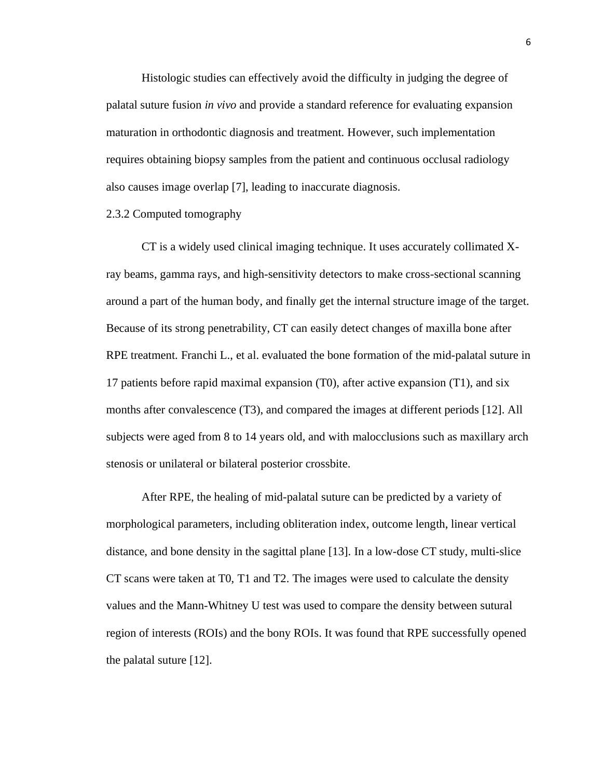Histologic studies can effectively avoid the difficulty in judging the degree of palatal suture fusion *in vivo* and provide a standard reference for evaluating expansion maturation in orthodontic diagnosis and treatment. However, such implementation requires obtaining biopsy samples from the patient and continuous occlusal radiology also causes image overlap [7], leading to inaccurate diagnosis.

#### <span id="page-11-0"></span>2.3.2 Computed tomography

CT is a widely used clinical imaging technique. It uses accurately collimated Xray beams, gamma rays, and high-sensitivity detectors to make cross-sectional scanning around a part of the human body, and finally get the internal structure image of the target. Because of its strong penetrability, CT can easily detect changes of maxilla bone after RPE treatment. Franchi L., et al. evaluated the bone formation of the mid-palatal suture in 17 patients before rapid maximal expansion (T0), after active expansion (T1), and six months after convalescence (T3), and compared the images at different periods [12]. All subjects were aged from 8 to 14 years old, and with malocclusions such as maxillary arch stenosis or unilateral or bilateral posterior crossbite.

After RPE, the healing of mid-palatal suture can be predicted by a variety of morphological parameters, including obliteration index, outcome length, linear vertical distance, and bone density in the sagittal plane [13]. In a low-dose CT study, multi-slice CT scans were taken at T0, T1 and T2. The images were used to calculate the density values and the Mann-Whitney U test was used to compare the density between sutural region of interests (ROIs) and the bony ROIs. It was found that RPE successfully opened the palatal suture [12].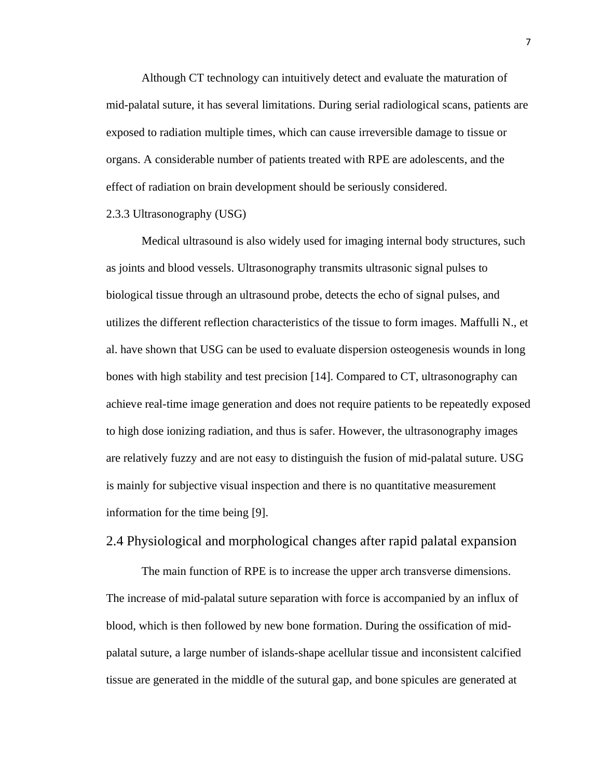Although CT technology can intuitively detect and evaluate the maturation of mid-palatal suture, it has several limitations. During serial radiological scans, patients are exposed to radiation multiple times, which can cause irreversible damage to tissue or organs. A considerable number of patients treated with RPE are adolescents, and the effect of radiation on brain development should be seriously considered.

#### <span id="page-12-0"></span>2.3.3 Ultrasonography (USG)

Medical ultrasound is also widely used for imaging internal body structures, such as joints and blood vessels. Ultrasonography transmits ultrasonic signal pulses to biological tissue through an ultrasound probe, detects the echo of signal pulses, and utilizes the different reflection characteristics of the tissue to form images. Maffulli N., et al. have shown that USG can be used to evaluate dispersion osteogenesis wounds in long bones with high stability and test precision [14]. Compared to CT, ultrasonography can achieve real-time image generation and does not require patients to be repeatedly exposed to high dose ionizing radiation, and thus is safer. However, the ultrasonography images are relatively fuzzy and are not easy to distinguish the fusion of mid-palatal suture. USG is mainly for subjective visual inspection and there is no quantitative measurement information for the time being [9].

## <span id="page-12-1"></span>2.4 Physiological and morphological changes after rapid palatal expansion

The main function of RPE is to increase the upper arch transverse dimensions. The increase of mid-palatal suture separation with force is accompanied by an influx of blood, which is then followed by new bone formation. During the ossification of midpalatal suture, a large number of islands-shape acellular tissue and inconsistent calcified tissue are generated in the middle of the sutural gap, and bone spicules are generated at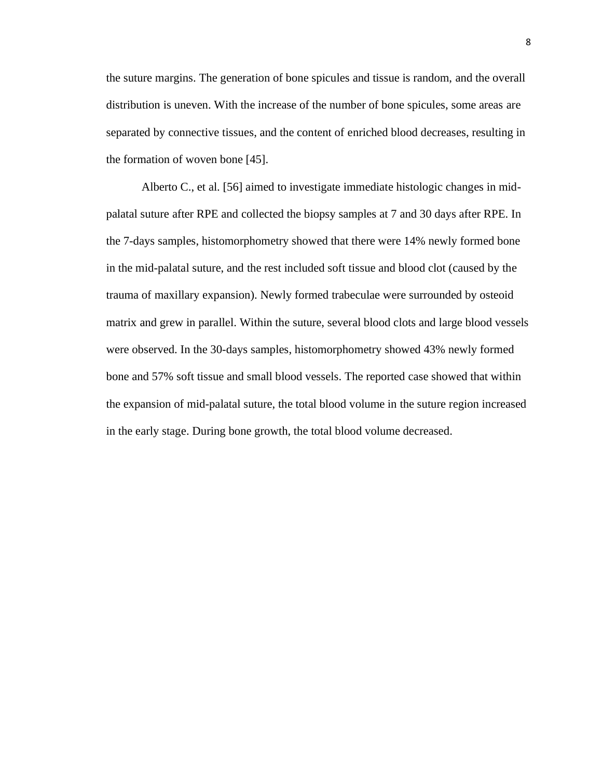the suture margins. The generation of bone spicules and tissue is random, and the overall distribution is uneven. With the increase of the number of bone spicules, some areas are separated by connective tissues, and the content of enriched blood decreases, resulting in the formation of woven bone [45].

Alberto C., et al. [56] aimed to investigate immediate histologic changes in midpalatal suture after RPE and collected the biopsy samples at 7 and 30 days after RPE. In the 7-days samples, histomorphometry showed that there were 14% newly formed bone in the mid-palatal suture, and the rest included soft tissue and blood clot (caused by the trauma of maxillary expansion). Newly formed trabeculae were surrounded by osteoid matrix and grew in parallel. Within the suture, several blood clots and large blood vessels were observed. In the 30-days samples, histomorphometry showed 43% newly formed bone and 57% soft tissue and small blood vessels. The reported case showed that within the expansion of mid-palatal suture, the total blood volume in the suture region increased in the early stage. During bone growth, the total blood volume decreased.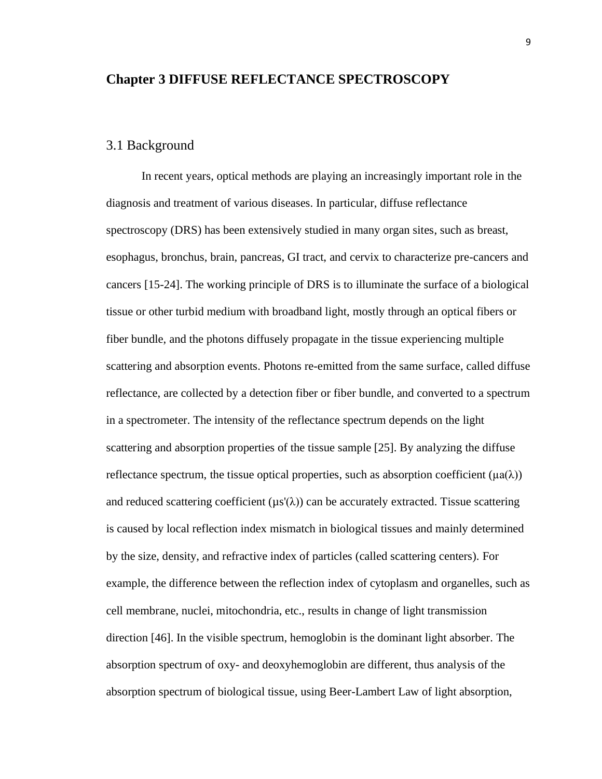### <span id="page-14-0"></span>**Chapter 3 DIFFUSE REFLECTANCE SPECTROSCOPY**

## <span id="page-14-1"></span>3.1 Background

In recent years, optical methods are playing an increasingly important role in the diagnosis and treatment of various diseases. In particular, diffuse reflectance spectroscopy (DRS) has been extensively studied in many organ sites, such as breast, esophagus, bronchus, brain, pancreas, GI tract, and cervix to characterize pre-cancers and cancers [15-24]. The working principle of DRS is to illuminate the surface of a biological tissue or other turbid medium with broadband light, mostly through an optical fibers or fiber bundle, and the photons diffusely propagate in the tissue experiencing multiple scattering and absorption events. Photons re-emitted from the same surface, called diffuse reflectance, are collected by a detection fiber or fiber bundle, and converted to a spectrum in a spectrometer. The intensity of the reflectance spectrum depends on the light scattering and absorption properties of the tissue sample [25]. By analyzing the diffuse reflectance spectrum, the tissue optical properties, such as absorption coefficient ( $\mu$ a( $\lambda$ )) and reduced scattering coefficient  $(\mu s'(\lambda))$  can be accurately extracted. Tissue scattering is caused by local reflection index mismatch in biological tissues and mainly determined by the size, density, and refractive index of particles (called scattering centers). For example, the difference between the reflection index of cytoplasm and organelles, such as cell membrane, nuclei, mitochondria, etc., results in change of light transmission direction [46]. In the visible spectrum, hemoglobin is the dominant light absorber. The absorption spectrum of oxy- and deoxyhemoglobin are different, thus analysis of the absorption spectrum of biological tissue, using Beer-Lambert Law of light absorption,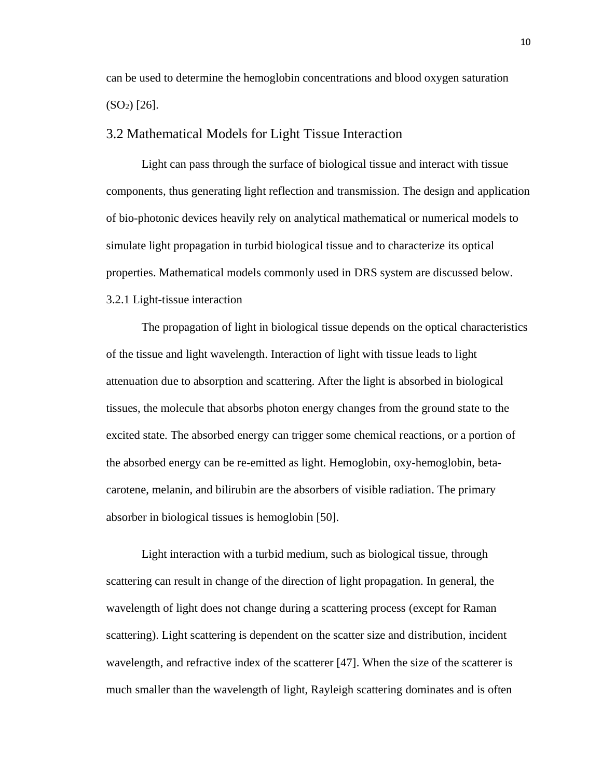can be used to determine the hemoglobin concentrations and blood oxygen saturation  $(SO<sub>2</sub>)$  [26].

### <span id="page-15-0"></span>3.2 Mathematical Models for Light Tissue Interaction

Light can pass through the surface of biological tissue and interact with tissue components, thus generating light reflection and transmission. The design and application of bio-photonic devices heavily rely on analytical mathematical or numerical models to simulate light propagation in turbid biological tissue and to characterize its optical properties. Mathematical models commonly used in DRS system are discussed below. 3.2.1 Light-tissue interaction

<span id="page-15-1"></span>The propagation of light in biological tissue depends on the optical characteristics of the tissue and light wavelength. Interaction of light with tissue leads to light attenuation due to absorption and scattering. After the light is absorbed in biological tissues, the molecule that absorbs photon energy changes from the ground state to the excited state. The absorbed energy can trigger some chemical reactions, or a portion of the absorbed energy can be re-emitted as light. Hemoglobin, oxy-hemoglobin, betacarotene, melanin, and bilirubin are the absorbers of visible radiation. The primary absorber in biological tissues is hemoglobin [50].

Light interaction with a turbid medium, such as biological tissue, through scattering can result in change of the direction of light propagation. In general, the wavelength of light does not change during a scattering process (except for Raman scattering). Light scattering is dependent on the scatter size and distribution, incident wavelength, and refractive index of the scatterer [47]. When the size of the scatterer is much smaller than the wavelength of light, Rayleigh scattering dominates and is often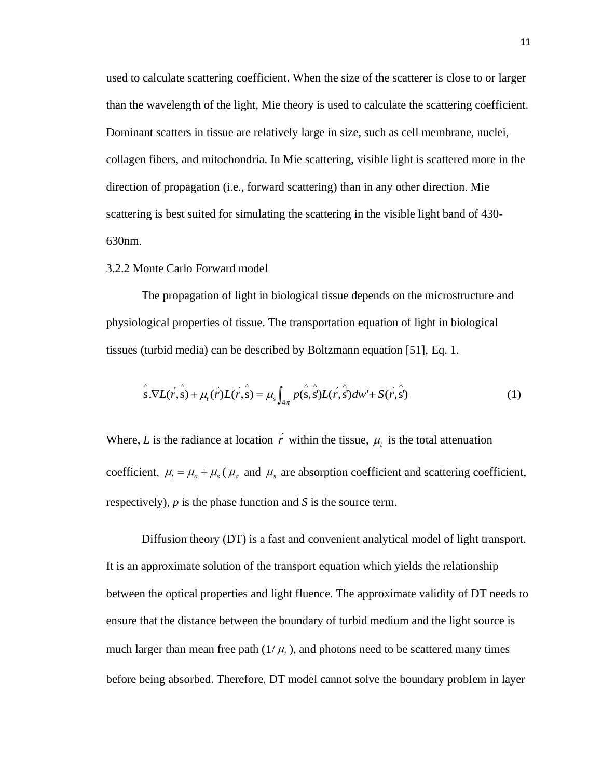used to calculate scattering coefficient. When the size of the scatterer is close to or larger than the wavelength of the light, Mie theory is used to calculate the scattering coefficient. Dominant scatters in tissue are relatively large in size, such as cell membrane, nuclei, collagen fibers, and mitochondria. In Mie scattering, visible light is scattered more in the direction of propagation (i.e., forward scattering) than in any other direction. Mie scattering is best suited for simulating the scattering in the visible light band of 430- 630nm.

#### <span id="page-16-0"></span>3.2.2 Monte Carlo Forward model

The propagation of light in biological tissue depends on the microstructure and physiological properties of tissue. The transportation equation of light in biological tissues (turbid media) can be described by Boltzmann equation [51], Eq. 1.

$$
\hat{\mathbf{s}}.\nabla L(\vec{r},\hat{\mathbf{s}}) + \mu_t(\vec{r})L(\vec{r},\hat{\mathbf{s}}) = \mu_s \int_{4\pi} p(\hat{\mathbf{s}},\hat{\mathbf{s}}')L(\vec{r},\hat{\mathbf{s}}')d\omega' + S(\vec{r},\hat{\mathbf{s}}')
$$
(1)

Where, L is the radiance at location r within the tissue,  $\mu_t$  is the total attenuation coefficient,  $\mu_t = \mu_a + \mu_s$  ( $\mu_a$  and  $\mu_s$  are absorption coefficient and scattering coefficient, respectively), *p* is the phase function and *S* is the source term.

Diffusion theory (DT) is a fast and convenient analytical model of light transport. It is an approximate solution of the transport equation which yields the relationship between the optical properties and light fluence. The approximate validity of DT needs to ensure that the distance between the boundary of turbid medium and the light source is much larger than mean free path  $(1/\mu_t)$ , and photons need to be scattered many times before being absorbed. Therefore, DT model cannot solve the boundary problem in layer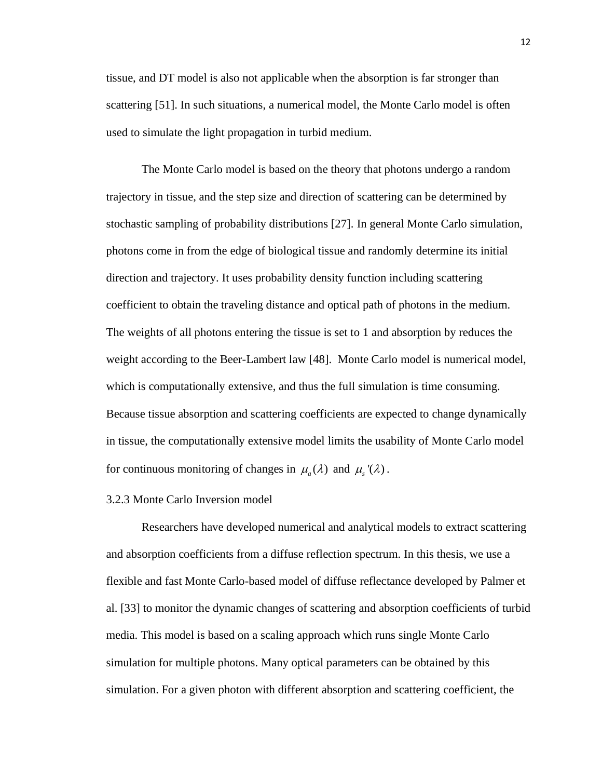tissue, and DT model is also not applicable when the absorption is far stronger than scattering [51]. In such situations, a numerical model, the Monte Carlo model is often used to simulate the light propagation in turbid medium.

The Monte Carlo model is based on the theory that photons undergo a random trajectory in tissue, and the step size and direction of scattering can be determined by stochastic sampling of probability distributions [27]. In general Monte Carlo simulation, photons come in from the edge of biological tissue and randomly determine its initial direction and trajectory. It uses probability density function including scattering coefficient to obtain the traveling distance and optical path of photons in the medium. The weights of all photons entering the tissue is set to 1 and absorption by reduces the weight according to the Beer-Lambert law [48]. Monte Carlo model is numerical model, which is computationally extensive, and thus the full simulation is time consuming. Because tissue absorption and scattering coefficients are expected to change dynamically in tissue, the computationally extensive model limits the usability of Monte Carlo model for continuous monitoring of changes in  $\mu_a(\lambda)$  and  $\mu_s(\lambda)$ .

#### <span id="page-17-0"></span>3.2.3 Monte Carlo Inversion model

Researchers have developed numerical and analytical models to extract scattering and absorption coefficients from a diffuse reflection spectrum. In this thesis, we use a flexible and fast Monte Carlo-based model of diffuse reflectance developed by Palmer et al. [33] to monitor the dynamic changes of scattering and absorption coefficients of turbid media. This model is based on a scaling approach which runs single Monte Carlo simulation for multiple photons. Many optical parameters can be obtained by this simulation. For a given photon with different absorption and scattering coefficient, the

12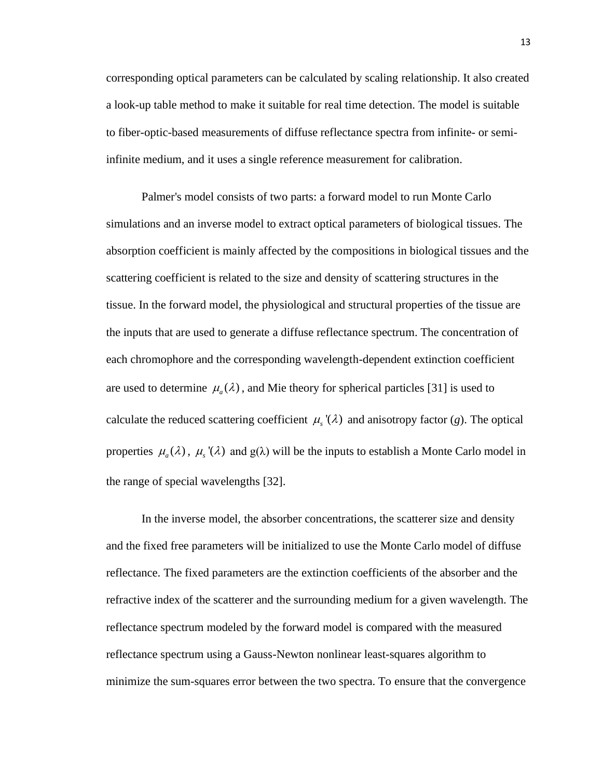corresponding optical parameters can be calculated by scaling relationship. It also created a look-up table method to make it suitable for real time detection. The model is suitable to fiber-optic-based measurements of diffuse reflectance spectra from infinite- or semiinfinite medium, and it uses a single reference measurement for calibration.

Palmer's model consists of two parts: a forward model to run Monte Carlo simulations and an inverse model to extract optical parameters of biological tissues. The absorption coefficient is mainly affected by the compositions in biological tissues and the scattering coefficient is related to the size and density of scattering structures in the tissue. In the forward model, the physiological and structural properties of the tissue are the inputs that are used to generate a diffuse reflectance spectrum. The concentration of each chromophore and the corresponding wavelength-dependent extinction coefficient are used to determine  $\mu_a(\lambda)$ , and Mie theory for spherical particles [31] is used to calculate the reduced scattering coefficient  $\mu_s(\lambda)$  and anisotropy factor (g). The optical properties  $\mu_a(\lambda)$ ,  $\mu_s'(\lambda)$  and  $g(\lambda)$  will be the inputs to establish a Monte Carlo model in the range of special wavelengths [32].

In the inverse model, the absorber concentrations, the scatterer size and density and the fixed free parameters will be initialized to use the Monte Carlo model of diffuse reflectance. The fixed parameters are the extinction coefficients of the absorber and the refractive index of the scatterer and the surrounding medium for a given wavelength. The reflectance spectrum modeled by the forward model is compared with the measured reflectance spectrum using a Gauss-Newton nonlinear least-squares algorithm to minimize the sum-squares error between the two spectra. To ensure that the convergence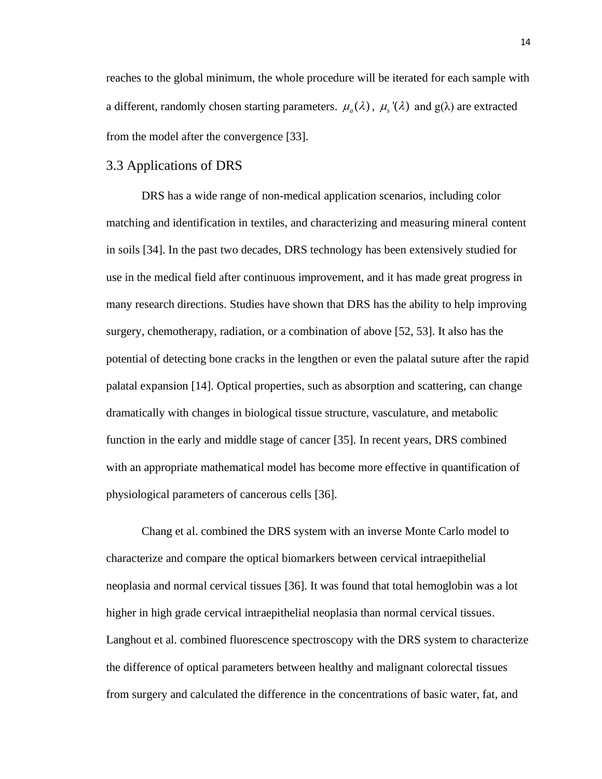reaches to the global minimum, the whole procedure will be iterated for each sample with a different, randomly chosen starting parameters.  $\mu_a(\lambda)$ ,  $\mu_s'(\lambda)$  and  $g(\lambda)$  are extracted from the model after the convergence [33].

## <span id="page-19-0"></span>3.3 Applications of DRS

DRS has a wide range of non-medical application scenarios, including color matching and identification in textiles, and characterizing and measuring mineral content in soils [34]. In the past two decades, DRS technology has been extensively studied for use in the medical field after continuous improvement, and it has made great progress in many research directions. Studies have shown that DRS has the ability to help improving surgery, chemotherapy, radiation, or a combination of above [52, 53]. It also has the potential of detecting bone cracks in the lengthen or even the palatal suture after the rapid palatal expansion [14]. Optical properties, such as absorption and scattering, can change dramatically with changes in biological tissue structure, vasculature, and metabolic function in the early and middle stage of cancer [35]. In recent years, DRS combined with an appropriate mathematical model has become more effective in quantification of physiological parameters of cancerous cells [36].

Chang et al. combined the DRS system with an inverse Monte Carlo model to characterize and compare the optical biomarkers between cervical intraepithelial neoplasia and normal cervical tissues [36]. It was found that total hemoglobin was a lot higher in high grade cervical intraepithelial neoplasia than normal cervical tissues. Langhout et al. combined fluorescence spectroscopy with the DRS system to characterize the difference of optical parameters between healthy and malignant colorectal tissues from surgery and calculated the difference in the concentrations of basic water, fat, and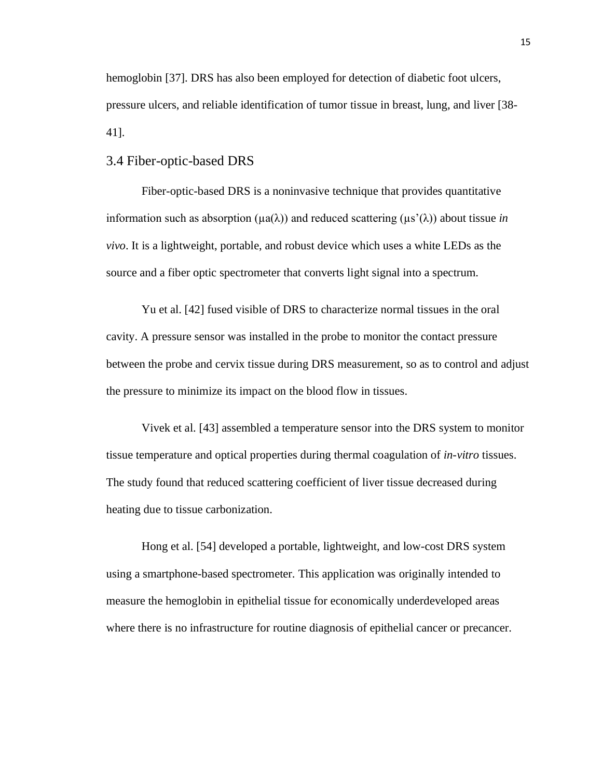hemoglobin [37]. DRS has also been employed for detection of diabetic foot ulcers, pressure ulcers, and reliable identification of tumor tissue in breast, lung, and liver [38- 41].

### <span id="page-20-0"></span>3.4 Fiber-optic-based DRS

Fiber-optic-based DRS is a noninvasive technique that provides quantitative information such as absorption (μa(λ)) and reduced scattering (μs'(λ)) about tissue *in vivo*. It is a lightweight, portable, and robust device which uses a white LEDs as the source and a fiber optic spectrometer that converts light signal into a spectrum.

Yu et al. [42] fused visible of DRS to characterize normal tissues in the oral cavity. A pressure sensor was installed in the probe to monitor the contact pressure between the probe and cervix tissue during DRS measurement, so as to control and adjust the pressure to minimize its impact on the blood flow in tissues.

Vivek et al. [43] assembled a temperature sensor into the DRS system to monitor tissue temperature and optical properties during thermal coagulation of *in-vitro* tissues. The study found that reduced scattering coefficient of liver tissue decreased during heating due to tissue carbonization.

Hong et al. [54] developed a portable, lightweight, and low-cost DRS system using a smartphone-based spectrometer. This application was originally intended to measure the hemoglobin in epithelial tissue for economically underdeveloped areas where there is no infrastructure for routine diagnosis of epithelial cancer or precancer.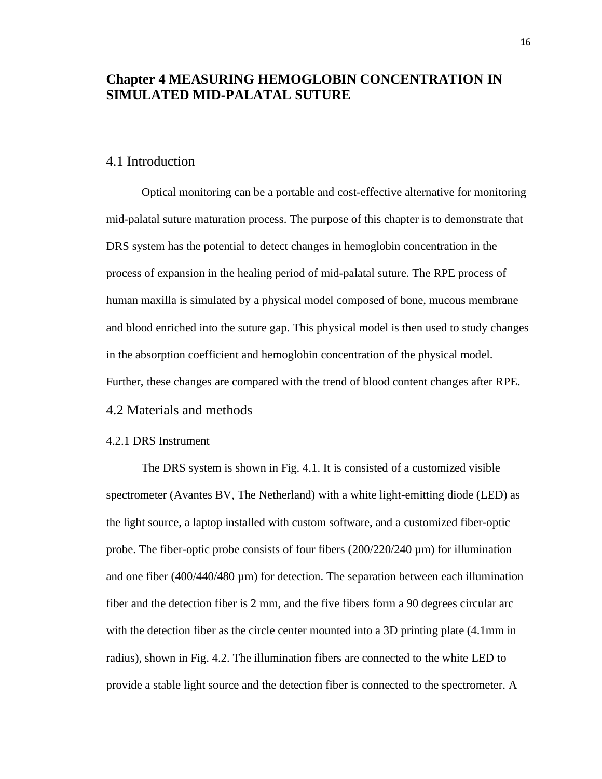## <span id="page-21-0"></span>**Chapter 4 MEASURING HEMOGLOBIN CONCENTRATION IN SIMULATED MID-PALATAL SUTURE**

## <span id="page-21-1"></span>4.1 Introduction

Optical monitoring can be a portable and cost-effective alternative for monitoring mid-palatal suture maturation process. The purpose of this chapter is to demonstrate that DRS system has the potential to detect changes in hemoglobin concentration in the process of expansion in the healing period of mid-palatal suture. The RPE process of human maxilla is simulated by a physical model composed of bone, mucous membrane and blood enriched into the suture gap. This physical model is then used to study changes in the absorption coefficient and hemoglobin concentration of the physical model. Further, these changes are compared with the trend of blood content changes after RPE.

## <span id="page-21-2"></span>4.2 Materials and methods

## <span id="page-21-3"></span>4.2.1 DRS Instrument

The DRS system is shown in Fig. 4.1. It is consisted of a customized visible spectrometer (Avantes BV, The Netherland) with a white light-emitting diode (LED) as the light source, a laptop installed with custom software, and a customized fiber-optic probe. The fiber-optic probe consists of four fibers (200/220/240 µm) for illumination and one fiber (400/440/480 µm) for detection. The separation between each illumination fiber and the detection fiber is 2 mm, and the five fibers form a 90 degrees circular arc with the detection fiber as the circle center mounted into a 3D printing plate  $(4.1 \text{ mm in})$ radius), shown in Fig. 4.2. The illumination fibers are connected to the white LED to provide a stable light source and the detection fiber is connected to the spectrometer. A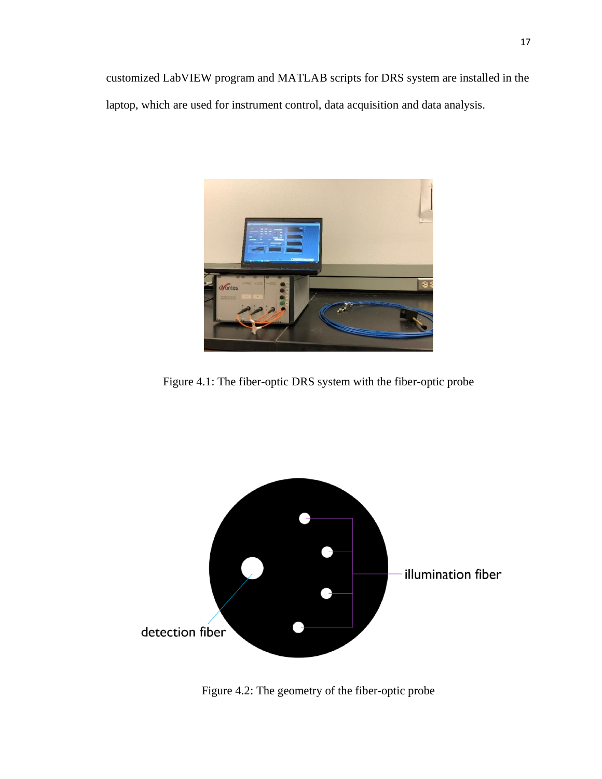customized LabVIEW program and MATLAB scripts for DRS system are installed in the laptop, which are used for instrument control, data acquisition and data analysis.



Figure 4.1: The fiber-optic DRS system with the fiber-optic probe



Figure 4.2: The geometry of the fiber-optic probe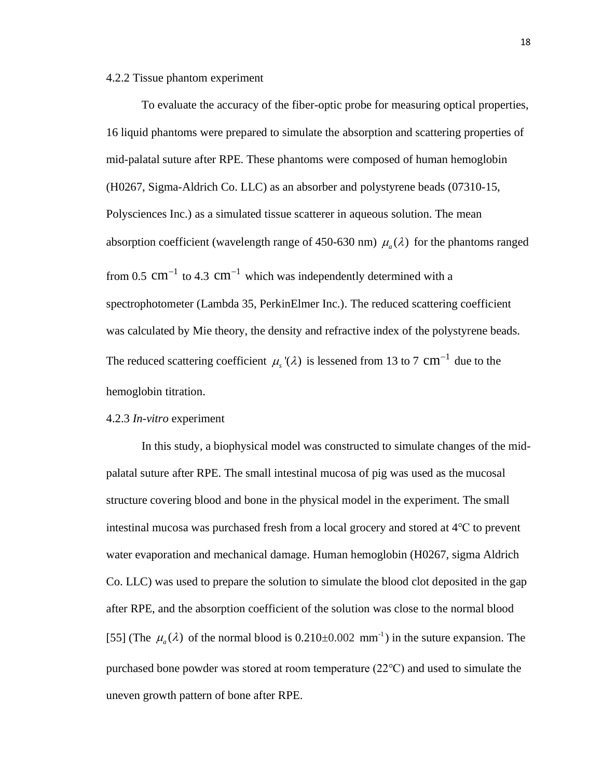#### <span id="page-23-0"></span>4.2.2 Tissue phantom experiment

To evaluate the accuracy of the fiber-optic probe for measuring optical properties, 16 liquid phantoms were prepared to simulate the absorption and scattering properties of mid-palatal suture after RPE. These phantoms were composed of human hemoglobin (H0267, Sigma-Aldrich Co. LLC) as an absorber and polystyrene beads (07310-15, Polysciences Inc.) as a simulated tissue scatterer in aqueous solution. The mean absorption coefficient (wavelength range of 450-630 nm)  $\mu_a(\lambda)$  for the phantoms ranged from 0.5  $cm^{-1}$  to 4.3  $cm^{-1}$  which was independently determined with a spectrophotometer (Lambda 35, PerkinElmer Inc.). The reduced scattering coefficient was calculated by Mie theory, the density and refractive index of the polystyrene beads. The reduced scattering coefficient  $\mu_s$ '( $\lambda$ ) is lessened from 13 to 7 cm<sup>-1</sup> due to the hemoglobin titration.

#### <span id="page-23-1"></span>4.2.3 *In-vitro* experiment

In this study, a biophysical model was constructed to simulate changes of the midpalatal suture after RPE. The small intestinal mucosa of pig was used as the mucosal structure covering blood and bone in the physical model in the experiment. The small intestinal mucosa was purchased fresh from a local grocery and stored at 4℃ to prevent water evaporation and mechanical damage. Human hemoglobin (H0267, sigma Aldrich Co. LLC) was used to prepare the solution to simulate the blood clot deposited in the gap after RPE, and the absorption coefficient of the solution was close to the normal blood [55] (The  $\mu_a(\lambda)$  of the normal blood is 0.210±0.002 mm<sup>-1</sup>) in the suture expansion. The purchased bone powder was stored at room temperature (22℃) and used to simulate the uneven growth pattern of bone after RPE.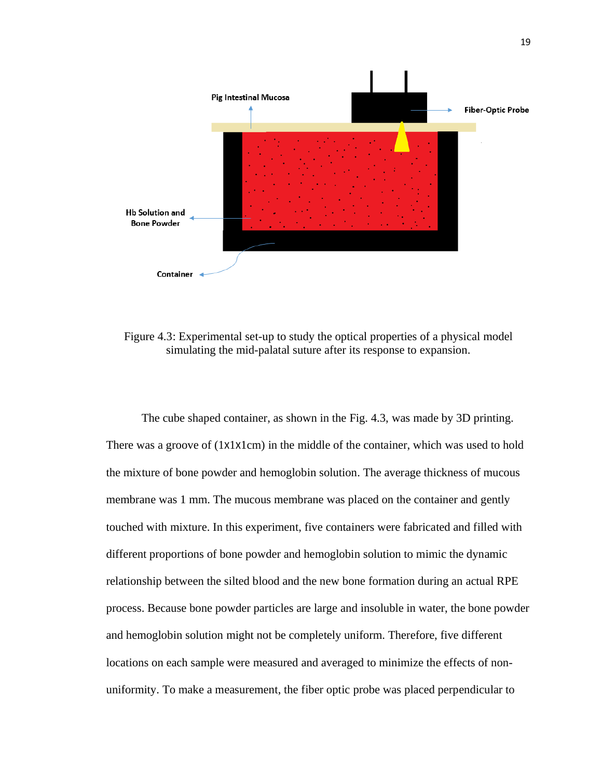

Figure 4.3: Experimental set-up to study the optical properties of a physical model simulating the mid-palatal suture after its response to expansion.

The cube shaped container, as shown in the Fig. 4.3, was made by 3D printing. There was a groove of (1X1X1cm) in the middle of the container, which was used to hold the mixture of bone powder and hemoglobin solution. The average thickness of mucous membrane was 1 mm. The mucous membrane was placed on the container and gently touched with mixture. In this experiment, five containers were fabricated and filled with different proportions of bone powder and hemoglobin solution to mimic the dynamic relationship between the silted blood and the new bone formation during an actual RPE process. Because bone powder particles are large and insoluble in water, the bone powder and hemoglobin solution might not be completely uniform. Therefore, five different locations on each sample were measured and averaged to minimize the effects of nonuniformity. To make a measurement, the fiber optic probe was placed perpendicular to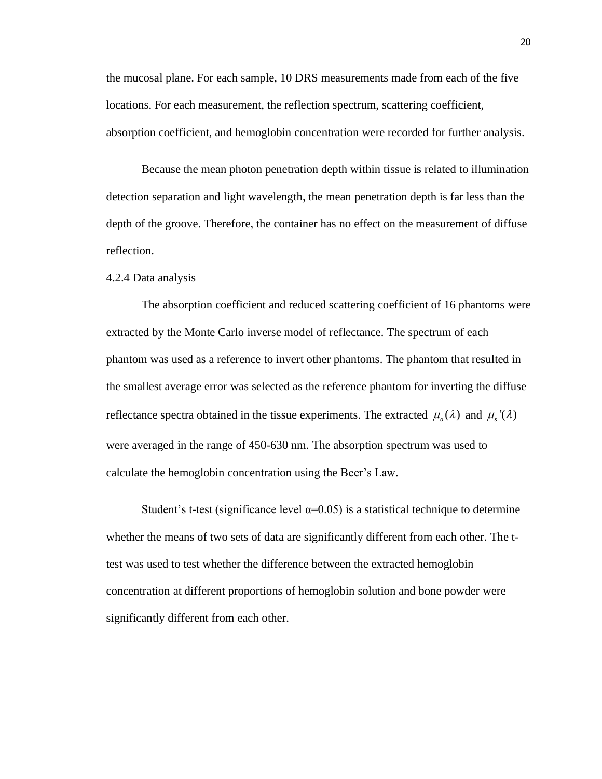the mucosal plane. For each sample, 10 DRS measurements made from each of the five locations. For each measurement, the reflection spectrum, scattering coefficient, absorption coefficient, and hemoglobin concentration were recorded for further analysis.

Because the mean photon penetration depth within tissue is related to illumination detection separation and light wavelength, the mean penetration depth is far less than the depth of the groove. Therefore, the container has no effect on the measurement of diffuse reflection.

#### <span id="page-25-0"></span>4.2.4 Data analysis

The absorption coefficient and reduced scattering coefficient of 16 phantoms were extracted by the Monte Carlo inverse model of reflectance. The spectrum of each phantom was used as a reference to invert other phantoms. The phantom that resulted in the smallest average error was selected as the reference phantom for inverting the diffuse reflectance spectra obtained in the tissue experiments. The extracted  $\mu_a(\lambda)$  and  $\mu_s(\lambda)$ were averaged in the range of 450-630 nm. The absorption spectrum was used to calculate the hemoglobin concentration using the Beer's Law.

Student's t-test (significance level  $\alpha$ =0.05) is a statistical technique to determine whether the means of two sets of data are significantly different from each other. The ttest was used to test whether the difference between the extracted hemoglobin concentration at different proportions of hemoglobin solution and bone powder were significantly different from each other.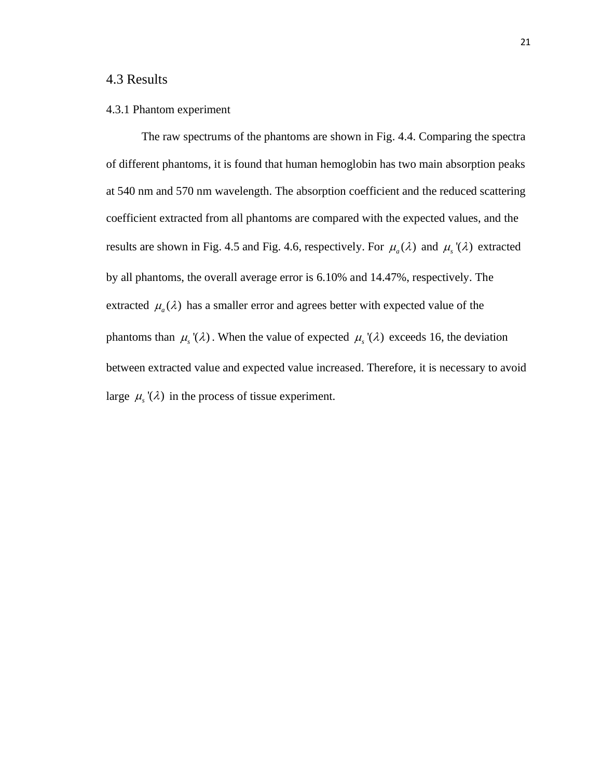## <span id="page-26-0"></span>4.3 Results

#### <span id="page-26-1"></span>4.3.1 Phantom experiment

The raw spectrums of the phantoms are shown in Fig. 4.4. Comparing the spectra of different phantoms, it is found that human hemoglobin has two main absorption peaks at 540 nm and 570 nm wavelength. The absorption coefficient and the reduced scattering coefficient extracted from all phantoms are compared with the expected values, and the results are shown in Fig. 4.5 and Fig. 4.6, respectively. For  $\mu_a(\lambda)$  and  $\mu_s'(\lambda)$  extracted by all phantoms, the overall average error is 6.10% and 14.47%, respectively. The extracted  $\mu_a(\lambda)$  has a smaller error and agrees better with expected value of the phantoms than  $\mu_s(\lambda)$ . When the value of expected  $\mu_s(\lambda)$  exceeds 16, the deviation between extracted value and expected value increased. Therefore, it is necessary to avoid large  $\mu_s'(\lambda)$  in the process of tissue experiment.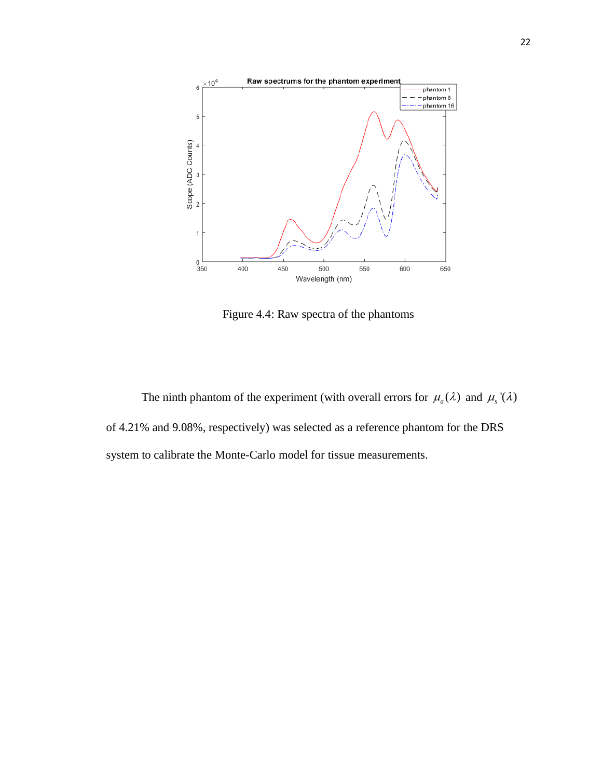

Figure 4.4: Raw spectra of the phantoms

The ninth phantom of the experiment (with overall errors for  $\mu_a(\lambda)$  and  $\mu_s'(\lambda)$ of 4.21% and 9.08%, respectively) was selected as a reference phantom for the DRS system to calibrate the Monte-Carlo model for tissue measurements.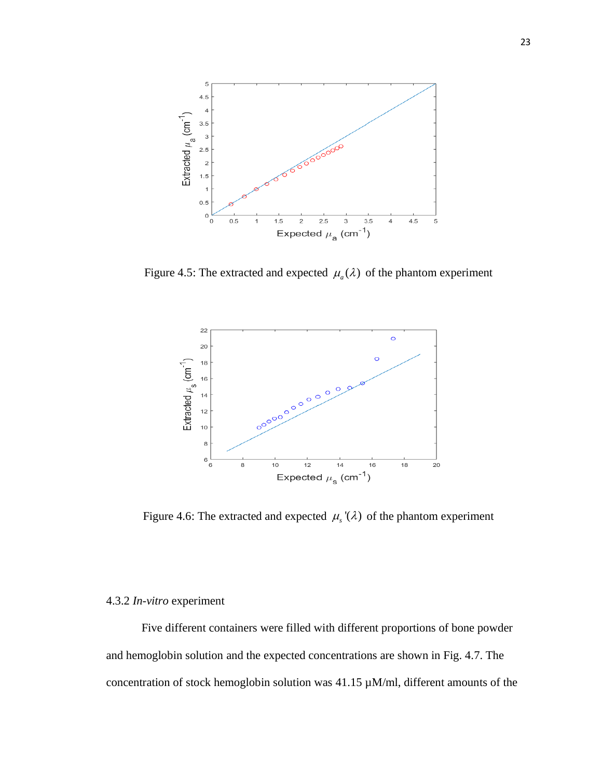

Figure 4.5: The extracted and expected  $\mu_a(\lambda)$  of the phantom experiment



Figure 4.6: The extracted and expected  $\mu_s(\lambda)$  of the phantom experiment

#### <span id="page-28-0"></span>4.3.2 *In-vitro* experiment

Five different containers were filled with different proportions of bone powder and hemoglobin solution and the expected concentrations are shown in Fig. 4.7. The concentration of stock hemoglobin solution was 41.15 µM/ml, different amounts of the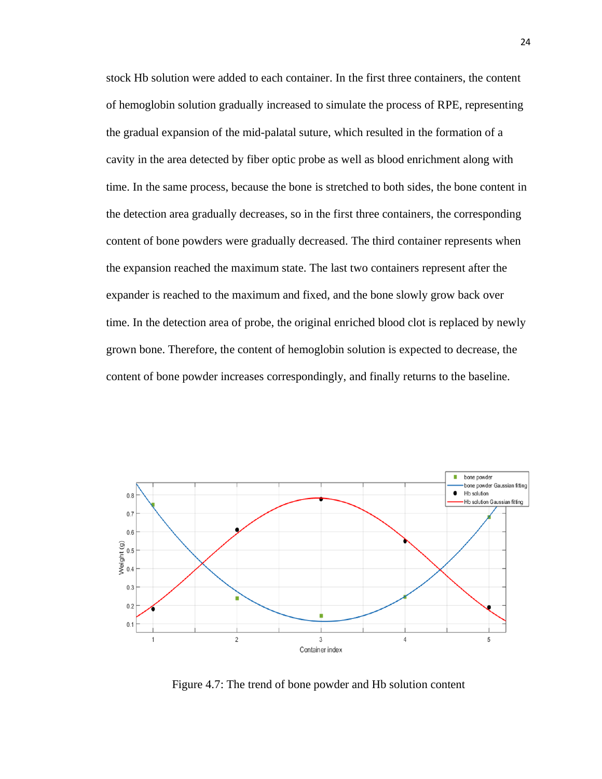stock Hb solution were added to each container. In the first three containers, the content of hemoglobin solution gradually increased to simulate the process of RPE, representing the gradual expansion of the mid-palatal suture, which resulted in the formation of a cavity in the area detected by fiber optic probe as well as blood enrichment along with time. In the same process, because the bone is stretched to both sides, the bone content in the detection area gradually decreases, so in the first three containers, the corresponding content of bone powders were gradually decreased. The third container represents when the expansion reached the maximum state. The last two containers represent after the expander is reached to the maximum and fixed, and the bone slowly grow back over time. In the detection area of probe, the original enriched blood clot is replaced by newly grown bone. Therefore, the content of hemoglobin solution is expected to decrease, the content of bone powder increases correspondingly, and finally returns to the baseline.



Figure 4.7: The trend of bone powder and Hb solution content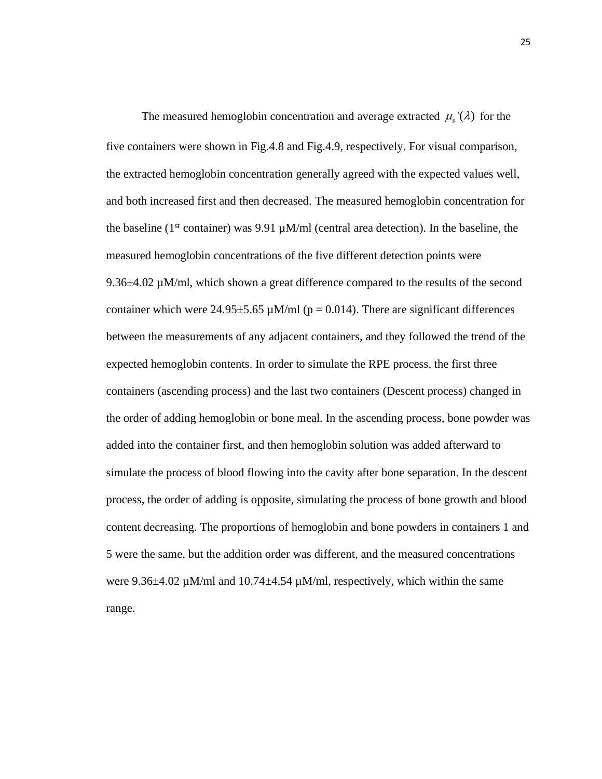The measured hemoglobin concentration and average extracted  $\mu_s(\lambda)$  for the five containers were shown in Fig.4.8 and Fig.4.9, respectively. For visual comparison, the extracted hemoglobin concentration generally agreed with the expected values well, and both increased first and then decreased. The measured hemoglobin concentration for the baseline ( $1<sup>st</sup>$  container) was 9.91  $\mu$ M/ml (central area detection). In the baseline, the measured hemoglobin concentrations of the five different detection points were 9.36 $\pm$ 4.02 µM/ml, which shown a great difference compared to the results of the second container which were  $24.95\pm5.65 \mu M/ml$  (p = 0.014). There are significant differences between the measurements of any adjacent containers, and they followed the trend of the expected hemoglobin contents. In order to simulate the RPE process, the first three containers (ascending process) and the last two containers (Descent process) changed in the order of adding hemoglobin or bone meal. In the ascending process, bone powder was added into the container first, and then hemoglobin solution was added afterward to simulate the process of blood flowing into the cavity after bone separation. In the descent process, the order of adding is opposite, simulating the process of bone growth and blood content decreasing. The proportions of hemoglobin and bone powders in containers 1 and 5 were the same, but the addition order was different, and the measured concentrations were 9.36 $\pm$ 4.02 µM/ml and 10.74 $\pm$ 4.54 µM/ml, respectively, which within the same range.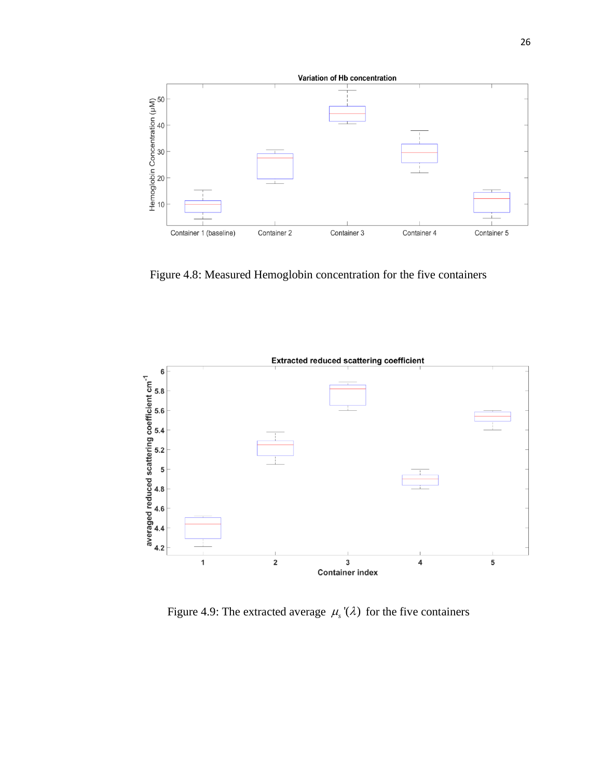

Figure 4.8: Measured Hemoglobin concentration for the five containers



Figure 4.9: The extracted average  $\mu_s(\lambda)$  for the five containers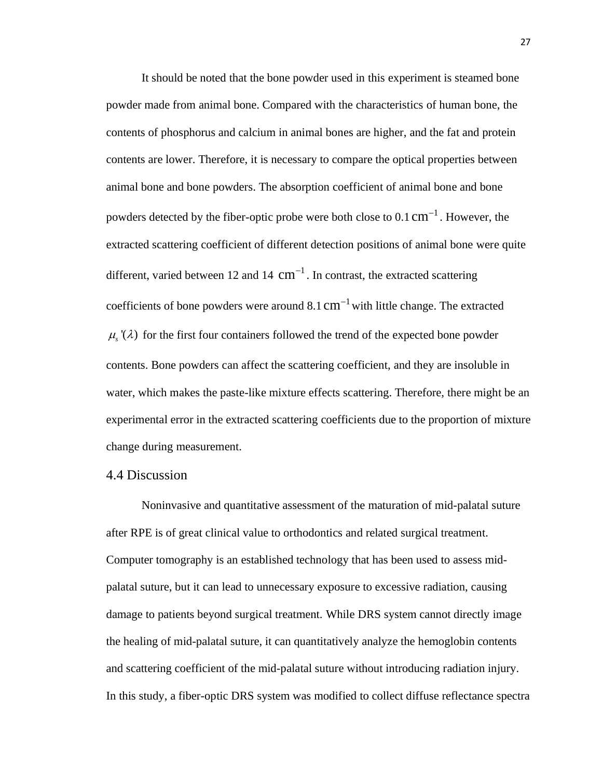It should be noted that the bone powder used in this experiment is steamed bone powder made from animal bone. Compared with the characteristics of human bone, the contents of phosphorus and calcium in animal bones are higher, and the fat and protein contents are lower. Therefore, it is necessary to compare the optical properties between animal bone and bone powders. The absorption coefficient of animal bone and bone powders detected by the fiber-optic probe were both close to  $0.1 \text{ cm}^{-1}$ . However, the extracted scattering coefficient of different detection positions of animal bone were quite different, varied between 12 and 14  $cm^{-1}$ . In contrast, the extracted scattering coefficients of bone powders were around 8.1  $cm^{-1}$  with little change. The extracted  $\mu_{s}(\lambda)$  for the first four containers followed the trend of the expected bone powder contents. Bone powders can affect the scattering coefficient, and they are insoluble in water, which makes the paste-like mixture effects scattering. Therefore, there might be an experimental error in the extracted scattering coefficients due to the proportion of mixture change during measurement.

#### <span id="page-32-0"></span>4.4 Discussion

Noninvasive and quantitative assessment of the maturation of mid-palatal suture after RPE is of great clinical value to orthodontics and related surgical treatment. Computer tomography is an established technology that has been used to assess midpalatal suture, but it can lead to unnecessary exposure to excessive radiation, causing damage to patients beyond surgical treatment. While DRS system cannot directly image the healing of mid-palatal suture, it can quantitatively analyze the hemoglobin contents and scattering coefficient of the mid-palatal suture without introducing radiation injury. In this study, a fiber-optic DRS system was modified to collect diffuse reflectance spectra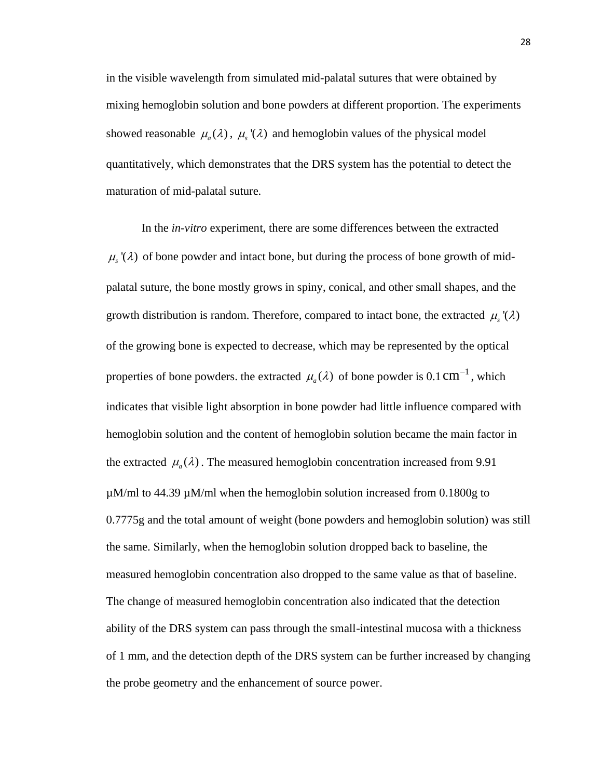in the visible wavelength from simulated mid-palatal sutures that were obtained by mixing hemoglobin solution and bone powders at different proportion. The experiments showed reasonable  $\mu_a(\lambda)$ ,  $\mu_s(\lambda)$  and hemoglobin values of the physical model quantitatively, which demonstrates that the DRS system has the potential to detect the maturation of mid-palatal suture.

In the *in-vitro* experiment, there are some differences between the extracted  $\mu_{s}(\lambda)$  of bone powder and intact bone, but during the process of bone growth of midpalatal suture, the bone mostly grows in spiny, conical, and other small shapes, and the growth distribution is random. Therefore, compared to intact bone, the extracted  $\mu_s^{\text{v}}(\lambda)$ of the growing bone is expected to decrease, which may be represented by the optical properties of bone powders. the extracted  $\mu_a(\lambda)$  of bone powder is 0.1 cm<sup>-1</sup>, which indicates that visible light absorption in bone powder had little influence compared with hemoglobin solution and the content of hemoglobin solution became the main factor in the extracted  $\mu_a(\lambda)$ . The measured hemoglobin concentration increased from 9.91  $\mu$ M/ml to 44.39  $\mu$ M/ml when the hemoglobin solution increased from 0.1800g to 0.7775g and the total amount of weight (bone powders and hemoglobin solution) was still the same. Similarly, when the hemoglobin solution dropped back to baseline, the measured hemoglobin concentration also dropped to the same value as that of baseline. The change of measured hemoglobin concentration also indicated that the detection ability of the DRS system can pass through the small-intestinal mucosa with a thickness of 1 mm, and the detection depth of the DRS system can be further increased by changing the probe geometry and the enhancement of source power.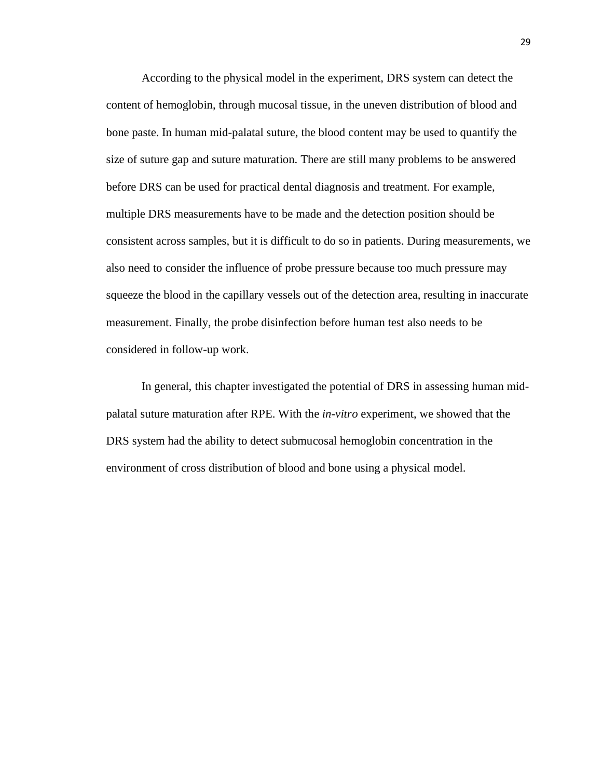According to the physical model in the experiment, DRS system can detect the content of hemoglobin, through mucosal tissue, in the uneven distribution of blood and bone paste. In human mid-palatal suture, the blood content may be used to quantify the size of suture gap and suture maturation. There are still many problems to be answered before DRS can be used for practical dental diagnosis and treatment. For example, multiple DRS measurements have to be made and the detection position should be consistent across samples, but it is difficult to do so in patients. During measurements, we also need to consider the influence of probe pressure because too much pressure may squeeze the blood in the capillary vessels out of the detection area, resulting in inaccurate measurement. Finally, the probe disinfection before human test also needs to be considered in follow-up work.

In general, this chapter investigated the potential of DRS in assessing human midpalatal suture maturation after RPE. With the *in-vitro* experiment, we showed that the DRS system had the ability to detect submucosal hemoglobin concentration in the environment of cross distribution of blood and bone using a physical model.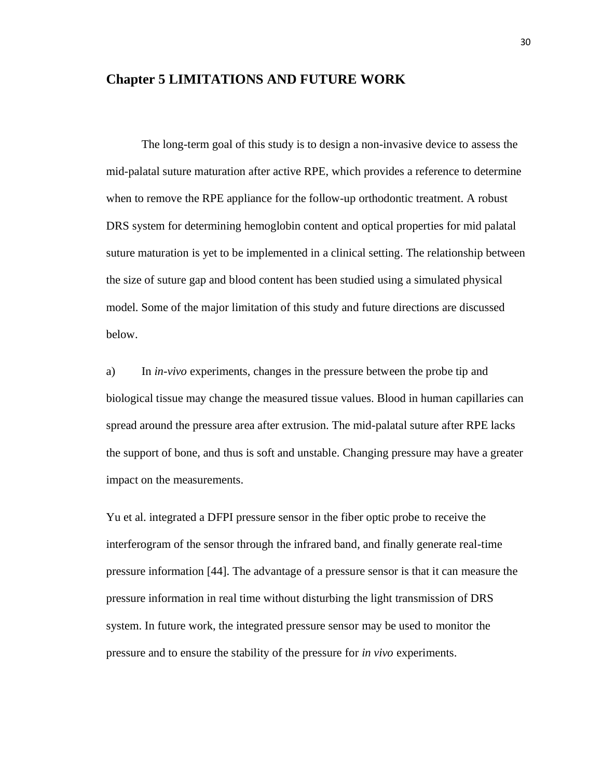## <span id="page-35-0"></span>**Chapter 5 LIMITATIONS AND FUTURE WORK**

The long-term goal of this study is to design a non-invasive device to assess the mid-palatal suture maturation after active RPE, which provides a reference to determine when to remove the RPE appliance for the follow-up orthodontic treatment. A robust DRS system for determining hemoglobin content and optical properties for mid palatal suture maturation is yet to be implemented in a clinical setting. The relationship between the size of suture gap and blood content has been studied using a simulated physical model. Some of the major limitation of this study and future directions are discussed below.

a) In *in-vivo* experiments, changes in the pressure between the probe tip and biological tissue may change the measured tissue values. Blood in human capillaries can spread around the pressure area after extrusion. The mid-palatal suture after RPE lacks the support of bone, and thus is soft and unstable. Changing pressure may have a greater impact on the measurements.

Yu et al. integrated a DFPI pressure sensor in the fiber optic probe to receive the interferogram of the sensor through the infrared band, and finally generate real-time pressure information [44]. The advantage of a pressure sensor is that it can measure the pressure information in real time without disturbing the light transmission of DRS system. In future work, the integrated pressure sensor may be used to monitor the pressure and to ensure the stability of the pressure for *in vivo* experiments.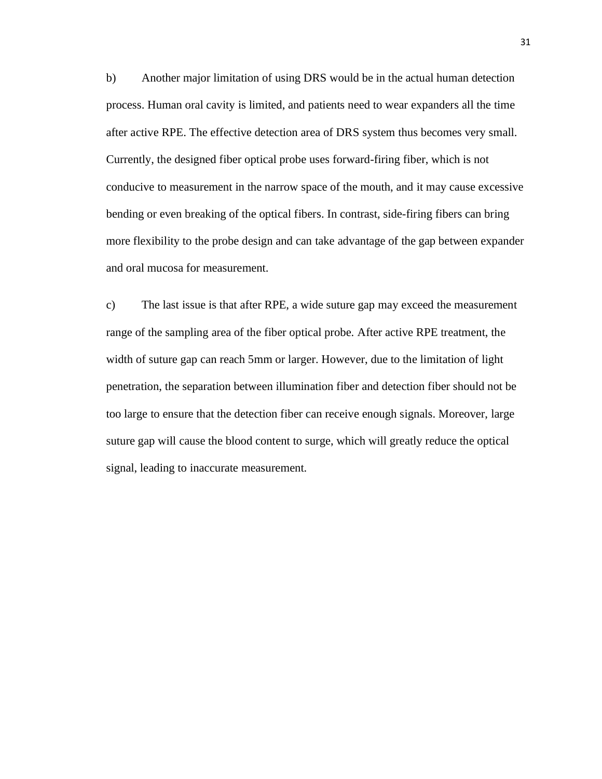b) Another major limitation of using DRS would be in the actual human detection process. Human oral cavity is limited, and patients need to wear expanders all the time after active RPE. The effective detection area of DRS system thus becomes very small. Currently, the designed fiber optical probe uses forward-firing fiber, which is not conducive to measurement in the narrow space of the mouth, and it may cause excessive bending or even breaking of the optical fibers. In contrast, side-firing fibers can bring more flexibility to the probe design and can take advantage of the gap between expander and oral mucosa for measurement.

c) The last issue is that after RPE, a wide suture gap may exceed the measurement range of the sampling area of the fiber optical probe. After active RPE treatment, the width of suture gap can reach 5mm or larger. However, due to the limitation of light penetration, the separation between illumination fiber and detection fiber should not be too large to ensure that the detection fiber can receive enough signals. Moreover, large suture gap will cause the blood content to surge, which will greatly reduce the optical signal, leading to inaccurate measurement.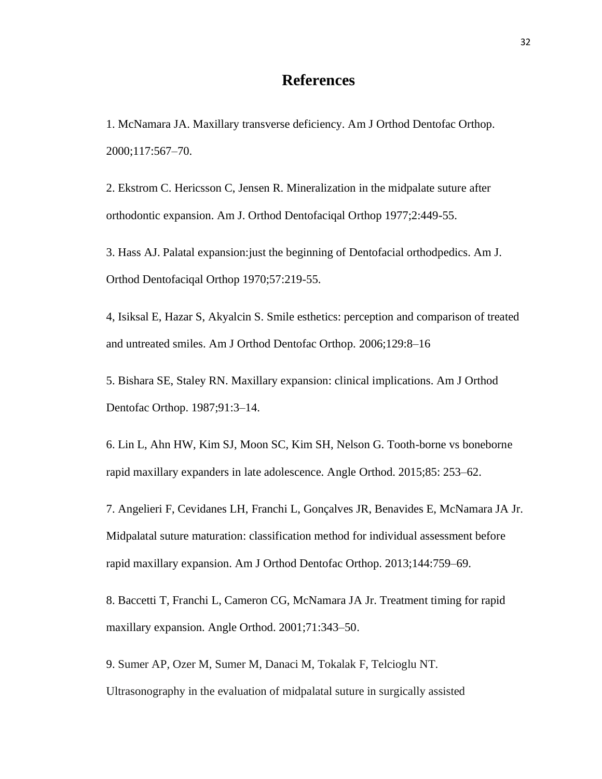## **References**

1. McNamara JA. Maxillary transverse deficiency. Am J Orthod Dentofac Orthop. 2000;117:567–70.

2. Ekstrom C. Hericsson C, Jensen R. Mineralization in the midpalate suture after orthodontic expansion. Am J. Orthod Dentofaciqal Orthop 1977;2:449-55.

3. Hass AJ. Palatal expansion:just the beginning of Dentofacial orthodpedics. Am J. Orthod Dentofaciqal Orthop 1970;57:219-55.

4, Isiksal E, Hazar S, Akyalcin S. Smile esthetics: perception and comparison of treated and untreated smiles. Am J Orthod Dentofac Orthop. 2006;129:8–16

5. Bishara SE, Staley RN. Maxillary expansion: clinical implications. Am J Orthod Dentofac Orthop. 1987;91:3–14.

6. Lin L, Ahn HW, Kim SJ, Moon SC, Kim SH, Nelson G. Tooth-borne vs boneborne rapid maxillary expanders in late adolescence. Angle Orthod. 2015;85: 253–62.

7. Angelieri F, Cevidanes LH, Franchi L, Gonçalves JR, Benavides E, McNamara JA Jr. Midpalatal suture maturation: classification method for individual assessment before rapid maxillary expansion. Am J Orthod Dentofac Orthop. 2013;144:759–69.

8. Baccetti T, Franchi L, Cameron CG, McNamara JA Jr. Treatment timing for rapid maxillary expansion. Angle Orthod. 2001;71:343–50.

9. Sumer AP, Ozer M, Sumer M, Danaci M, Tokalak F, Telcioglu NT. Ultrasonography in the evaluation of midpalatal suture in surgically assisted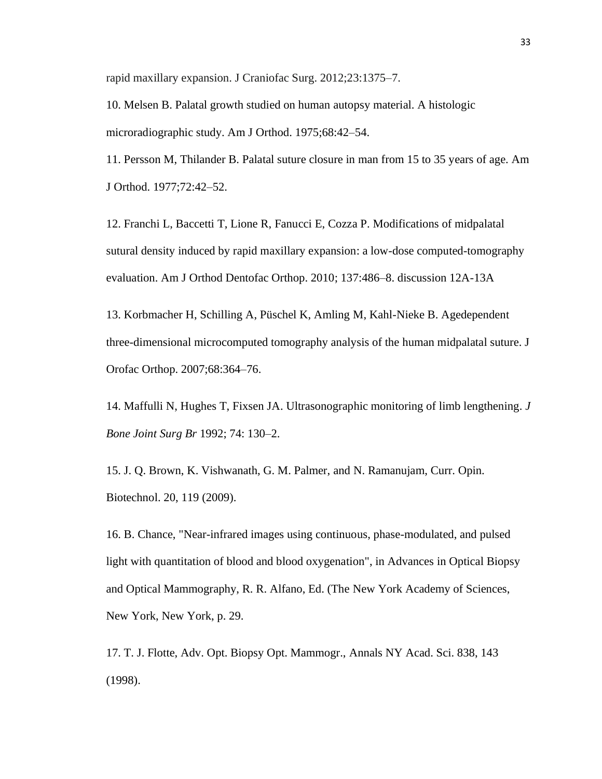rapid maxillary expansion. J Craniofac Surg. 2012;23:1375–7.

10. Melsen B. Palatal growth studied on human autopsy material. A histologic microradiographic study. Am J Orthod. 1975;68:42–54.

11. Persson M, Thilander B. Palatal suture closure in man from 15 to 35 years of age. Am J Orthod. 1977;72:42–52.

12. Franchi L, Baccetti T, Lione R, Fanucci E, Cozza P. Modifications of midpalatal sutural density induced by rapid maxillary expansion: a low-dose computed-tomography evaluation. Am J Orthod Dentofac Orthop. 2010; 137:486–8. discussion 12A-13A

13. Korbmacher H, Schilling A, Püschel K, Amling M, Kahl-Nieke B. Agedependent three-dimensional microcomputed tomography analysis of the human midpalatal suture. J Orofac Orthop. 2007;68:364–76.

14. Maffulli N, Hughes T, Fixsen JA. Ultrasonographic monitoring of limb lengthening. *J Bone Joint Surg Br* 1992; 74: 130–2.

15. J. Q. Brown, K. Vishwanath, G. M. Palmer, and N. Ramanujam, Curr. Opin. Biotechnol. 20, 119 (2009).

16. B. Chance, "Near-infrared images using continuous, phase-modulated, and pulsed light with quantitation of blood and blood oxygenation", in Advances in Optical Biopsy and Optical Mammography, R. R. Alfano, Ed. (The New York Academy of Sciences, New York, New York, p. 29.

17. T. J. Flotte, Adv. Opt. Biopsy Opt. Mammogr., Annals NY Acad. Sci. 838, 143 (1998).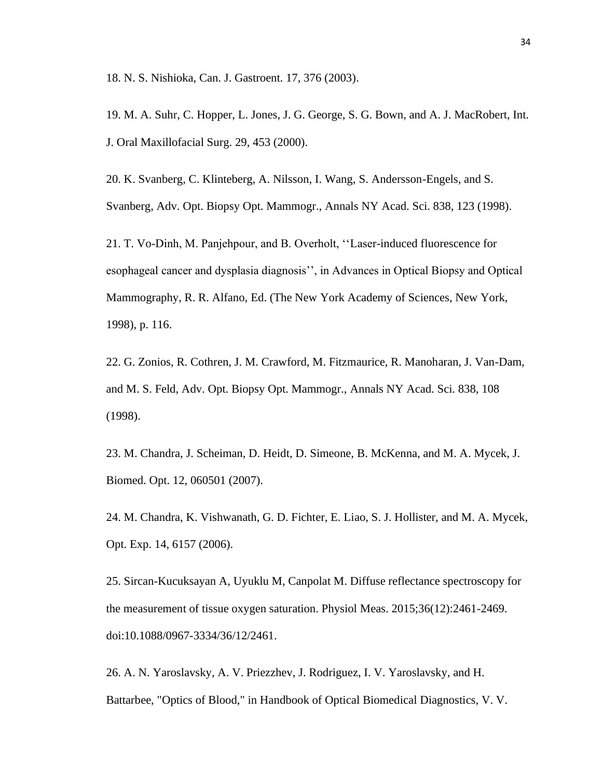18. N. S. Nishioka, Can. J. Gastroent. 17, 376 (2003).

19. M. A. Suhr, C. Hopper, L. Jones, J. G. George, S. G. Bown, and A. J. MacRobert, Int. J. Oral Maxillofacial Surg. 29, 453 (2000).

20. K. Svanberg, C. Klinteberg, A. Nilsson, I. Wang, S. Andersson-Engels, and S. Svanberg, Adv. Opt. Biopsy Opt. Mammogr., Annals NY Acad. Sci. 838, 123 (1998).

21. T. Vo-Dinh, M. Panjehpour, and B. Overholt, ''Laser-induced fluorescence for esophageal cancer and dysplasia diagnosis'', in Advances in Optical Biopsy and Optical Mammography, R. R. Alfano, Ed. (The New York Academy of Sciences, New York, 1998), p. 116.

22. G. Zonios, R. Cothren, J. M. Crawford, M. Fitzmaurice, R. Manoharan, J. Van-Dam, and M. S. Feld, Adv. Opt. Biopsy Opt. Mammogr., Annals NY Acad. Sci. 838, 108 (1998).

23. M. Chandra, J. Scheiman, D. Heidt, D. Simeone, B. McKenna, and M. A. Mycek, J. Biomed. Opt. 12, 060501 (2007).

24. M. Chandra, K. Vishwanath, G. D. Fichter, E. Liao, S. J. Hollister, and M. A. Mycek, Opt. Exp. 14, 6157 (2006).

25. Sircan-Kucuksayan A, Uyuklu M, Canpolat M. Diffuse reflectance spectroscopy for the measurement of tissue oxygen saturation. Physiol Meas. 2015;36(12):2461-2469. doi:10.1088/0967-3334/36/12/2461.

26. A. N. Yaroslavsky, A. V. Priezzhev, J. Rodriguez, I. V. Yaroslavsky, and H. Battarbee, "Optics of Blood," in Handbook of Optical Biomedical Diagnostics, V. V.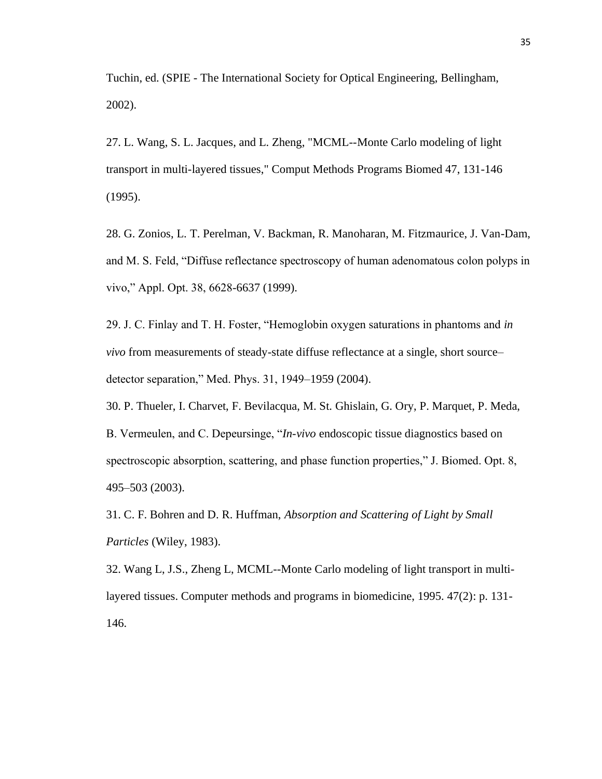Tuchin, ed. (SPIE - The International Society for Optical Engineering, Bellingham, 2002).

27. L. Wang, S. L. Jacques, and L. Zheng, "MCML--Monte Carlo modeling of light transport in multi-layered tissues," Comput Methods Programs Biomed 47, 131-146 (1995).

28. G. Zonios, L. T. Perelman, V. Backman, R. Manoharan, M. Fitzmaurice, J. Van-Dam, and M. S. Feld, "Diffuse reflectance spectroscopy of human adenomatous colon polyps in vivo," Appl. Opt. 38, 6628-6637 (1999).

29. J. C. Finlay and T. H. Foster, "Hemoglobin oxygen saturations in phantoms and *in vivo* from measurements of steady-state diffuse reflectance at a single, short source– detector separation," Med. Phys. 31, 1949–1959 (2004).

30. P. Thueler, I. Charvet, F. Bevilacqua, M. St. Ghislain, G. Ory, P. Marquet, P. Meda, B. Vermeulen, and C. Depeursinge, "*In*-*vivo* endoscopic tissue diagnostics based on spectroscopic absorption, scattering, and phase function properties," J. Biomed. Opt. 8, 495–503 (2003).

31. C. F. Bohren and D. R. Huffman, *Absorption and Scattering of Light by Small Particles* (Wiley, 1983).

32. Wang L, J.S., Zheng L, MCML--Monte Carlo modeling of light transport in multilayered tissues. Computer methods and programs in biomedicine, 1995. 47(2): p. 131- 146.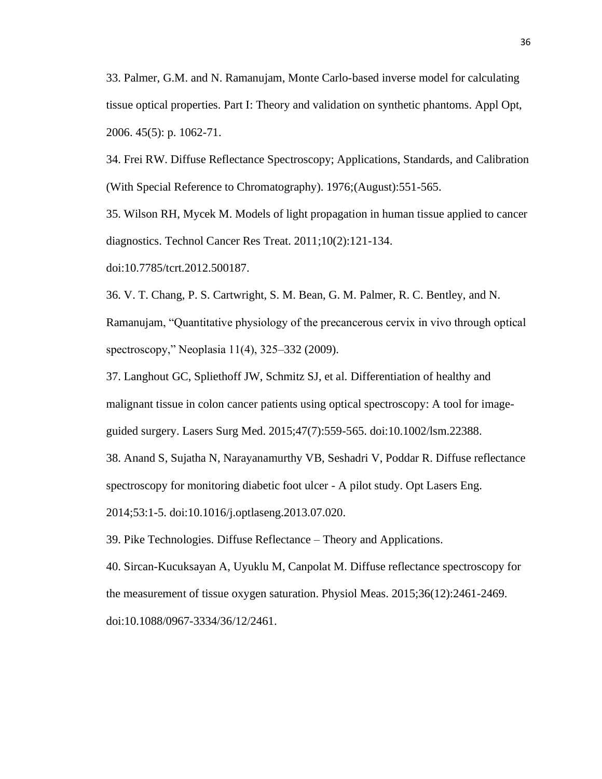33. Palmer, G.M. and N. Ramanujam, Monte Carlo-based inverse model for calculating tissue optical properties. Part I: Theory and validation on synthetic phantoms. Appl Opt, 2006. 45(5): p. 1062-71.

34. Frei RW. Diffuse Reflectance Spectroscopy; Applications, Standards, and Calibration (With Special Reference to Chromatography). 1976;(August):551-565.

35. Wilson RH, Mycek M. Models of light propagation in human tissue applied to cancer diagnostics. Technol Cancer Res Treat. 2011;10(2):121-134.

doi:10.7785/tcrt.2012.500187.

36. V. T. Chang, P. S. Cartwright, S. M. Bean, G. M. Palmer, R. C. Bentley, and N. Ramanujam, "Quantitative physiology of the precancerous cervix in vivo through optical spectroscopy," Neoplasia 11(4), 325–332 (2009).

37. Langhout GC, Spliethoff JW, Schmitz SJ, et al. Differentiation of healthy and malignant tissue in colon cancer patients using optical spectroscopy: A tool for imageguided surgery. Lasers Surg Med. 2015;47(7):559-565. doi:10.1002/lsm.22388.

38. Anand S, Sujatha N, Narayanamurthy VB, Seshadri V, Poddar R. Diffuse reflectance

spectroscopy for monitoring diabetic foot ulcer - A pilot study. Opt Lasers Eng.

2014;53:1-5. doi:10.1016/j.optlaseng.2013.07.020.

39. Pike Technologies. Diffuse Reflectance – Theory and Applications.

40. Sircan-Kucuksayan A, Uyuklu M, Canpolat M. Diffuse reflectance spectroscopy for the measurement of tissue oxygen saturation. Physiol Meas. 2015;36(12):2461-2469. doi:10.1088/0967-3334/36/12/2461.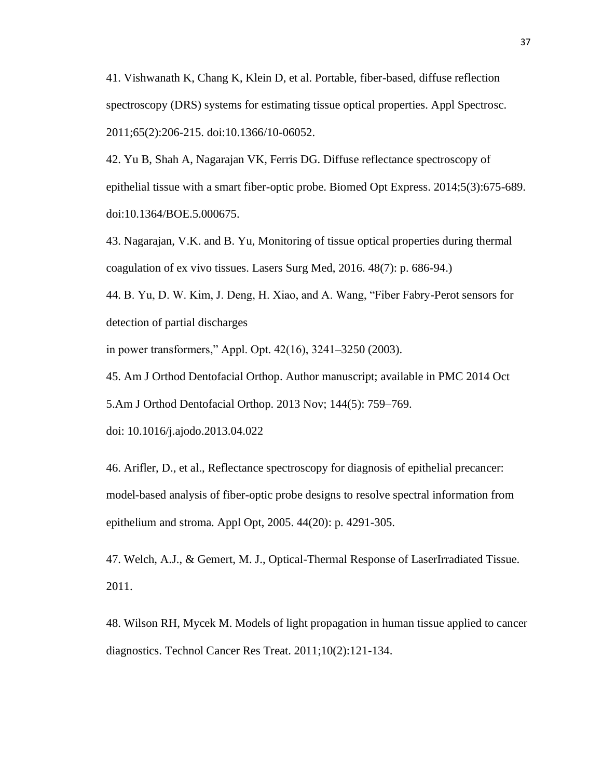41. Vishwanath K, Chang K, Klein D, et al. Portable, fiber-based, diffuse reflection spectroscopy (DRS) systems for estimating tissue optical properties. Appl Spectrosc. 2011;65(2):206-215. doi:10.1366/10-06052.

42. Yu B, Shah A, Nagarajan VK, Ferris DG. Diffuse reflectance spectroscopy of epithelial tissue with a smart fiber-optic probe. Biomed Opt Express. 2014;5(3):675-689. doi:10.1364/BOE.5.000675.

43. Nagarajan, V.K. and B. Yu, Monitoring of tissue optical properties during thermal coagulation of ex vivo tissues. Lasers Surg Med, 2016. 48(7): p. 686-94.)

44. B. Yu, D. W. Kim, J. Deng, H. Xiao, and A. Wang, "Fiber Fabry-Perot sensors for detection of partial discharges

in power transformers," Appl. Opt. 42(16), 3241–3250 (2003).

45. [Am J Orthod Dentofacial Orthop.](https://www.ncbi.nlm.nih.gov/pmc/articles/PMC4185298/) Author manuscript; available in PMC 2014 Oct 5[.Am J Orthod Dentofacial Orthop. 2013 Nov; 144\(5\): 759–769.](https://www.ncbi.nlm.nih.gov/entrez/eutils/elink.fcgi?dbfrom=pubmed&retmode=ref&cmd=prlinks&id=24182592)

doi: [10.1016/j.ajodo.2013.04.022](https://dx.doi.org/10.1016%2Fj.ajodo.2013.04.022)

46. Arifler, D., et al., Reflectance spectroscopy for diagnosis of epithelial precancer: model-based analysis of fiber-optic probe designs to resolve spectral information from epithelium and stroma. Appl Opt, 2005. 44(20): p. 4291-305.

47. Welch, A.J., & Gemert, M. J., Optical-Thermal Response of LaserIrradiated Tissue. 2011.

48. Wilson RH, Mycek M. Models of light propagation in human tissue applied to cancer diagnostics. Technol Cancer Res Treat. 2011;10(2):121-134.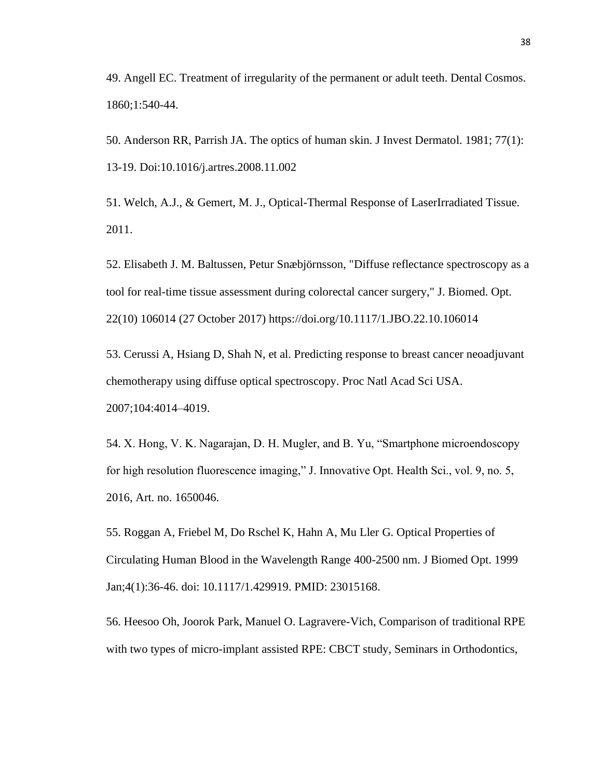49. Angell EC. Treatment of irregularity of the permanent or adult teeth. Dental Cosmos. 1860;1:540-44.

50. Anderson RR, Parrish JA. The optics of human skin. J Invest Dermatol. 1981; 77(1): 13-19. Doi:10.1016/j.artres.2008.11.002

51. Welch, A.J., & Gemert, M. J., Optical-Thermal Response of LaserIrradiated Tissue. 2011.

52. Elisabeth J. M. Baltussen, Petur Snæbjörnsson, "Diffuse reflectance spectroscopy as a tool for real-time tissue assessment during colorectal cancer surgery," J. Biomed. Opt. 22(10) 106014 (27 October 2017) <https://doi.org/10.1117/1.JBO.22.10.106014>

53. Cerussi A, Hsiang D, Shah N, et al. Predicting response to breast cancer neoadjuvant chemotherapy using diffuse optical spectroscopy. Proc Natl Acad Sci USA. 2007;104:4014–4019.

54. X. Hong, V. K. Nagarajan, D. H. Mugler, and B. Yu, "Smartphone microendoscopy for high resolution fluorescence imaging," J. Innovative Opt. Health Sci., vol. 9, no. 5, 2016, Art. no. 1650046.

55. Roggan A, Friebel M, Do Rschel K, Hahn A, Mu Ller G. Optical Properties of Circulating Human Blood in the Wavelength Range 400-2500 nm. J Biomed Opt. 1999 Jan;4(1):36-46. doi: 10.1117/1.429919. PMID: 23015168.

56. Heesoo Oh, Joorok Park, Manuel O. Lagravere-Vich, Comparison of traditional RPE with two types of micro-implant assisted RPE: CBCT study, Seminars in Orthodontics,